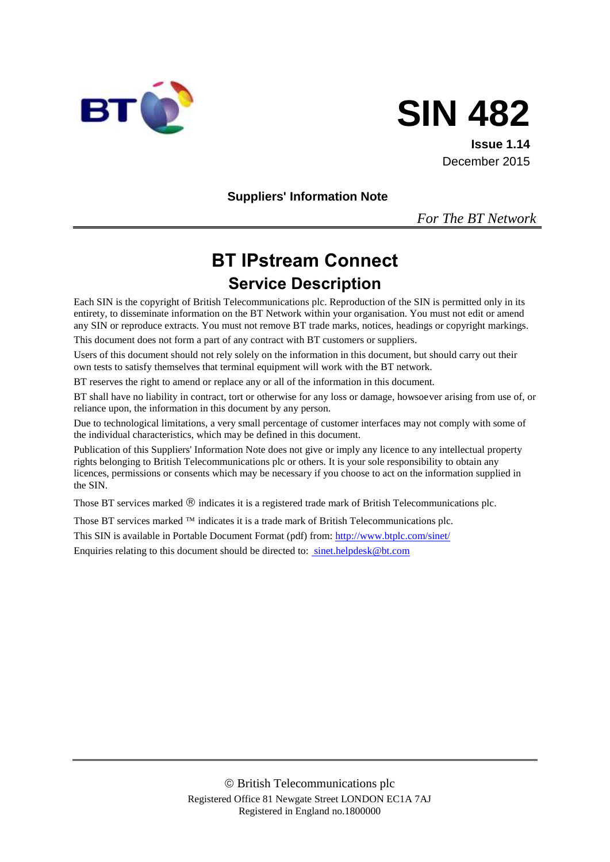



**Issue 1.14** December 2015

**Suppliers' Information Note**

*For The BT Network*

# **BT IPstream Connect Service Description**

Each SIN is the copyright of British Telecommunications plc. Reproduction of the SIN is permitted only in its entirety, to disseminate information on the BT Network within your organisation. You must not edit or amend any SIN or reproduce extracts. You must not remove BT trade marks, notices, headings or copyright markings.

This document does not form a part of any contract with BT customers or suppliers.

Users of this document should not rely solely on the information in this document, but should carry out their own tests to satisfy themselves that terminal equipment will work with the BT network.

BT reserves the right to amend or replace any or all of the information in this document.

BT shall have no liability in contract, tort or otherwise for any loss or damage, howsoever arising from use of, or reliance upon, the information in this document by any person.

Due to technological limitations, a very small percentage of customer interfaces may not comply with some of the individual characteristics, which may be defined in this document.

Publication of this Suppliers' Information Note does not give or imply any licence to any intellectual property rights belonging to British Telecommunications plc or others. It is your sole responsibility to obtain any licences, permissions or consents which may be necessary if you choose to act on the information supplied in the SIN.

Those BT services marked  $\mathcal{R}$  indicates it is a registered trade mark of British Telecommunications plc.

Those BT services marked  $TM$  indicates it is a trade mark of British Telecommunications plc.

This SIN is available in Portable Document Format (pdf) from:<http://www.btplc.com/sinet/> Enquiries relating to this document should be directed to: sinet.helpdesk@bt.com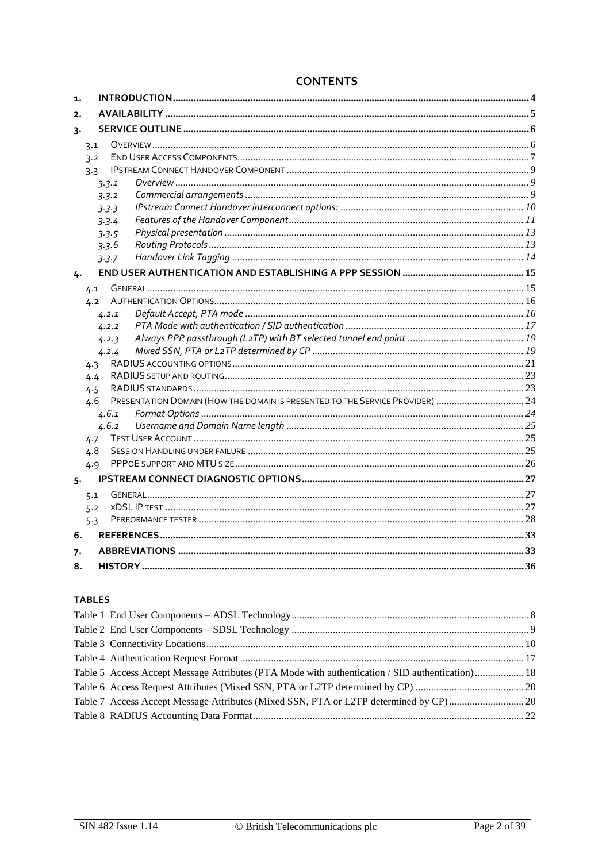| 1. |     |                                                                               |  |
|----|-----|-------------------------------------------------------------------------------|--|
| 2. |     |                                                                               |  |
| 3. |     |                                                                               |  |
|    | 3.1 |                                                                               |  |
|    | 3.2 |                                                                               |  |
|    | 3.3 |                                                                               |  |
|    |     | 3.3.1                                                                         |  |
|    |     | 3.3.2                                                                         |  |
|    |     | 3.3.3                                                                         |  |
|    |     | 3.3.4                                                                         |  |
|    |     | 3.3.5                                                                         |  |
|    |     | 3.3.6                                                                         |  |
|    |     | 3.3.7                                                                         |  |
| 4. |     |                                                                               |  |
|    | 4.1 |                                                                               |  |
|    | 4.2 |                                                                               |  |
|    |     | 4.2.1                                                                         |  |
|    |     | 4.2.2                                                                         |  |
|    |     | 4.2.3                                                                         |  |
|    |     | 4.2.4                                                                         |  |
|    | 4.3 |                                                                               |  |
|    | 4.4 |                                                                               |  |
|    | 4.5 |                                                                               |  |
|    | 4.6 | PRESENTATION DOMAIN (HOW THE DOMAIN IS PRESENTED TO THE SERVICE PROVIDER)  24 |  |
|    |     | 4.6.1                                                                         |  |
|    |     | 4.6.2                                                                         |  |
|    | 4.7 |                                                                               |  |
|    | 4.8 |                                                                               |  |
|    | 4.9 |                                                                               |  |
| 5. |     |                                                                               |  |
|    | 5.1 |                                                                               |  |
|    | 5.2 |                                                                               |  |
|    | 5.3 |                                                                               |  |
| 6. |     |                                                                               |  |
| 7. |     |                                                                               |  |
| 8. |     |                                                                               |  |

# **CONTENTS**

### **TABLES**

| Table 5 Access Accept Message Attributes (PTA Mode with authentication / SID authentication)  18 |  |
|--------------------------------------------------------------------------------------------------|--|
|                                                                                                  |  |
|                                                                                                  |  |
|                                                                                                  |  |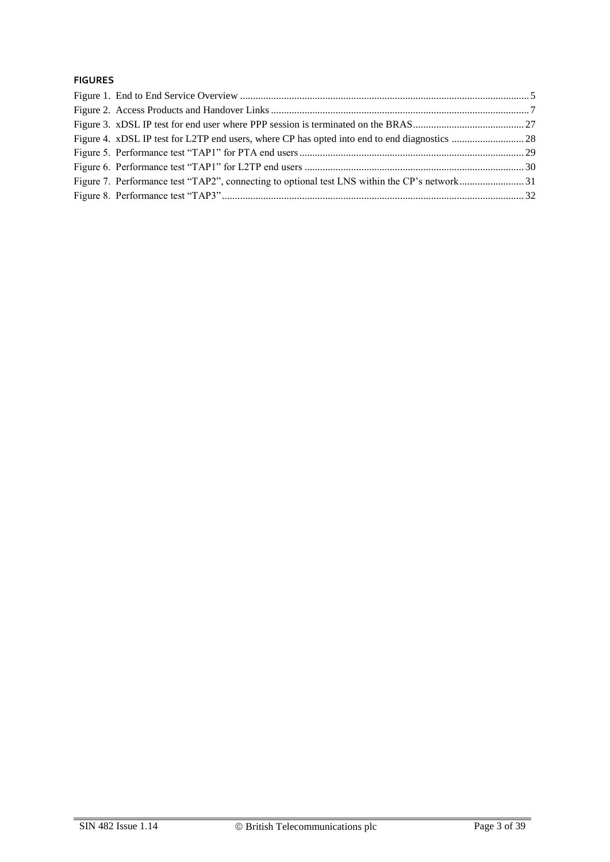#### **FIGURES**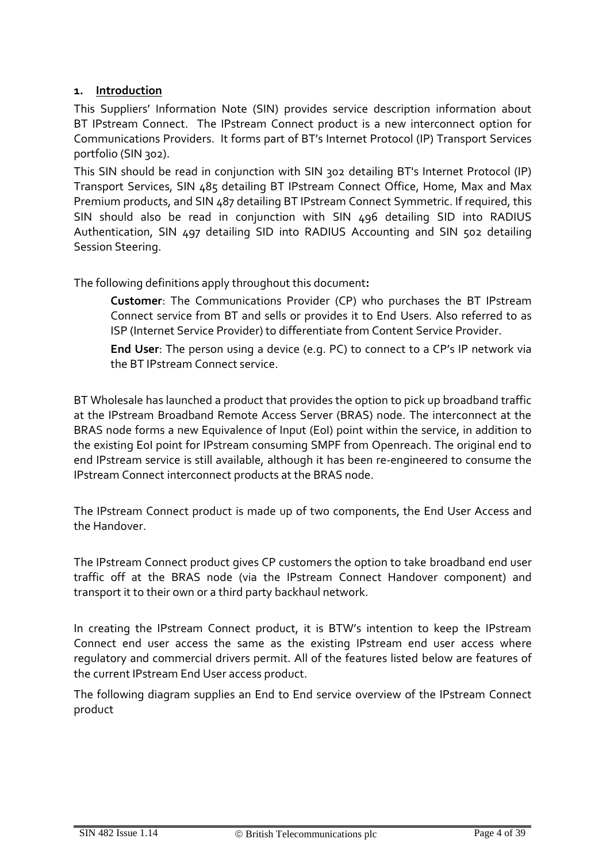### **1. Introduction**

This Suppliers' Information Note (SIN) provides service description information about BT IPstream Connect. The IPstream Connect product is a new interconnect option for Communications Providers. It forms part of BT's Internet Protocol (IP) Transport Services portfolio (SIN 302).

This SIN should be read in conjunction with SIN 302 detailing BT's Internet Protocol (IP) Transport Services, SIN 485 detailing BT IPstream Connect Office, Home, Max and Max Premium products, and SIN 487 detailing BT IPstream Connect Symmetric. If required, this SIN should also be read in conjunction with SIN 496 detailing SID into RADIUS Authentication, SIN 497 detailing SID into RADIUS Accounting and SIN 502 detailing Session Steering.

The following definitions apply throughout this document**:**

**Customer**: The Communications Provider (CP) who purchases the BT IPstream Connect service from BT and sells or provides it to End Users. Also referred to as ISP (Internet Service Provider) to differentiate from Content Service Provider.

**End User**: The person using a device (e.g. PC) to connect to a CP's IP network via the BT IPstream Connect service.

BT Wholesale has launched a product that provides the option to pick up broadband traffic at the IPstream Broadband Remote Access Server (BRAS) node. The interconnect at the BRAS node forms a new Equivalence of Input (EoI) point within the service, in addition to the existing EoI point for IPstream consuming SMPF from Openreach. The original end to end IPstream service is still available, although it has been re-engineered to consume the IPstream Connect interconnect products at the BRAS node.

The IPstream Connect product is made up of two components, the End User Access and the Handover.

The IPstream Connect product gives CP customers the option to take broadband end user traffic off at the BRAS node (via the IPstream Connect Handover component) and transport it to their own or a third party backhaul network.

In creating the IPstream Connect product, it is BTW's intention to keep the IPstream Connect end user access the same as the existing IPstream end user access where regulatory and commercial drivers permit. All of the features listed below are features of the current IPstream End User access product.

The following diagram supplies an End to End service overview of the IPstream Connect product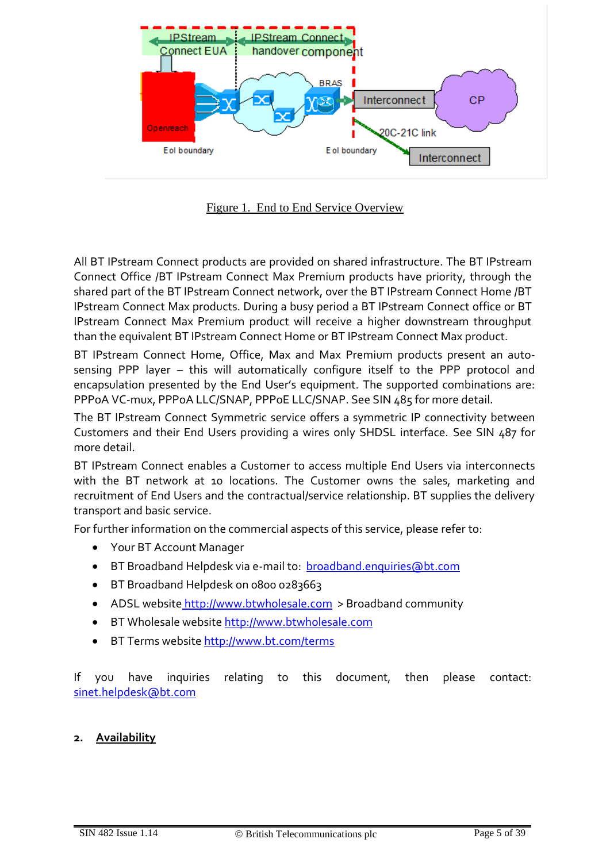

Figure 1. End to End Service Overview

All BT IPstream Connect products are provided on shared infrastructure. The BT IPstream Connect Office /BT IPstream Connect Max Premium products have priority, through the shared part of the BT IPstream Connect network, over the BT IPstream Connect Home /BT IPstream Connect Max products. During a busy period a BT IPstream Connect office or BT IPstream Connect Max Premium product will receive a higher downstream throughput than the equivalent BT IPstream Connect Home or BT IPstream Connect Max product.

BT IPstream Connect Home, Office, Max and Max Premium products present an autosensing PPP layer – this will automatically configure itself to the PPP protocol and encapsulation presented by the End User's equipment. The supported combinations are: PPPoA VC-mux, PPPoA LLC/SNAP, PPPoE LLC/SNAP. See SIN 485 for more detail.

The BT IPstream Connect Symmetric service offers a symmetric IP connectivity between Customers and their End Users providing a wires only SHDSL interface. See SIN 487 for more detail.

BT IPstream Connect enables a Customer to access multiple End Users via interconnects with the BT network at 10 locations. The Customer owns the sales, marketing and recruitment of End Users and the contractual/service relationship. BT supplies the delivery transport and basic service.

For further information on the commercial aspects of this service, please refer to:

- Your BT Account Manager
- BT Broadband Helpdesk via e-mail to: [broadband.enquiries@bt.com](mailto:broadband.enquiries@bt.com)
- BT Broadband Helpdesk on 0800 0283663
- ADSL website [http://www.btwholesale.com](http://www.btwholesale.com/) > Broadband community
- BT Wholesale website [http://www.btwholesale.com](http://www.btwholesale.com/)
- **BT Terms website<http://www.bt.com/terms>**

If you have inquiries relating to this document, then please contact: sinet.helpdesk@bt.com

#### **2. Availability**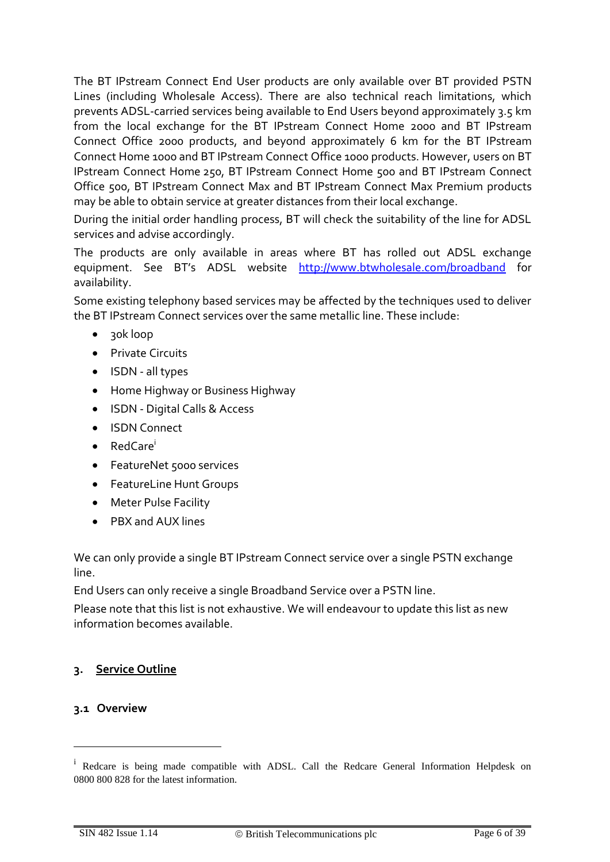The BT IPstream Connect End User products are only available over BT provided PSTN Lines (including Wholesale Access). There are also technical reach limitations, which prevents ADSL-carried services being available to End Users beyond approximately 3.5 km from the local exchange for the BT IPstream Connect Home 2000 and BT IPstream Connect Office 2000 products, and beyond approximately 6 km for the BT IPstream Connect Home 1000 and BT IPstream Connect Office 1000 products. However, users on BT IPstream Connect Home 250, BT IPstream Connect Home 500 and BT IPstream Connect Office 500, BT IPstream Connect Max and BT IPstream Connect Max Premium products may be able to obtain service at greater distances from their local exchange.

During the initial order handling process, BT will check the suitability of the line for ADSL services and advise accordingly.

The products are only available in areas where BT has rolled out ADSL exchange equipment. See BT's ADSL website <http://www.btwholesale.com/broadband> for availability.

Some existing telephony based services may be affected by the techniques used to deliver the BT IPstream Connect services over the same metallic line. These include:

- 30k loop
- Private Circuits
- ISDN all types
- Home Highway or Business Highway
- ISDN Digital Calls & Access
- ISDN Connect
- RedCare<sup>i</sup>
- **•** FeatureNet 5000 services
- FeatureLine Hunt Groups
- Meter Pulse Facility
- PBX and AUX lines

We can only provide a single BT IPstream Connect service over a single PSTN exchange line.

End Users can only receive a single Broadband Service over a PSTN line.

Please note that this list is not exhaustive. We will endeavour to update this list as new information becomes available.

#### **3. Service Outline**

#### **3.1 Overview**

1

<sup>&</sup>lt;sup>i</sup> Redcare is being made compatible with ADSL. Call the Redcare General Information Helpdesk on 0800 800 828 for the latest information.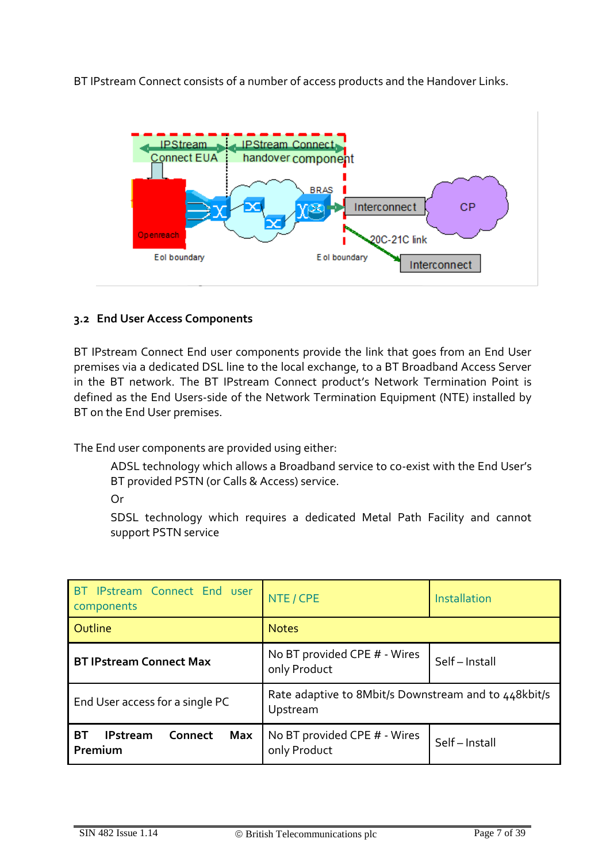BT IPstream Connect consists of a number of access products and the Handover Links.



# **3.2 End User Access Components**

BT IPstream Connect End user components provide the link that goes from an End User premises via a dedicated DSL line to the local exchange, to a BT Broadband Access Server in the BT network. The BT IPstream Connect product's Network Termination Point is defined as the End Users-side of the Network Termination Equipment (NTE) installed by BT on the End User premises.

The End user components are provided using either:

ADSL technology which allows a Broadband service to co-exist with the End User's BT provided PSTN (or Calls & Access) service.

Or

SDSL technology which requires a dedicated Metal Path Facility and cannot support PSTN service

| BT IPstream Connect End user<br>components                       | NTE / CPE<br>Installation                                        |  |  |
|------------------------------------------------------------------|------------------------------------------------------------------|--|--|
| Outline                                                          | <b>Notes</b>                                                     |  |  |
| <b>BT IPstream Connect Max</b>                                   | No BT provided CPE # - Wires<br>Self-Install<br>only Product     |  |  |
| End User access for a single PC                                  | Rate adaptive to 8Mbit/s Downstream and to 448kbit/s<br>Upstream |  |  |
| <b>BT</b><br><b>IPstream</b><br>Connect<br><b>Max</b><br>Premium | No BT provided CPE # - Wires<br>Self-Install<br>only Product     |  |  |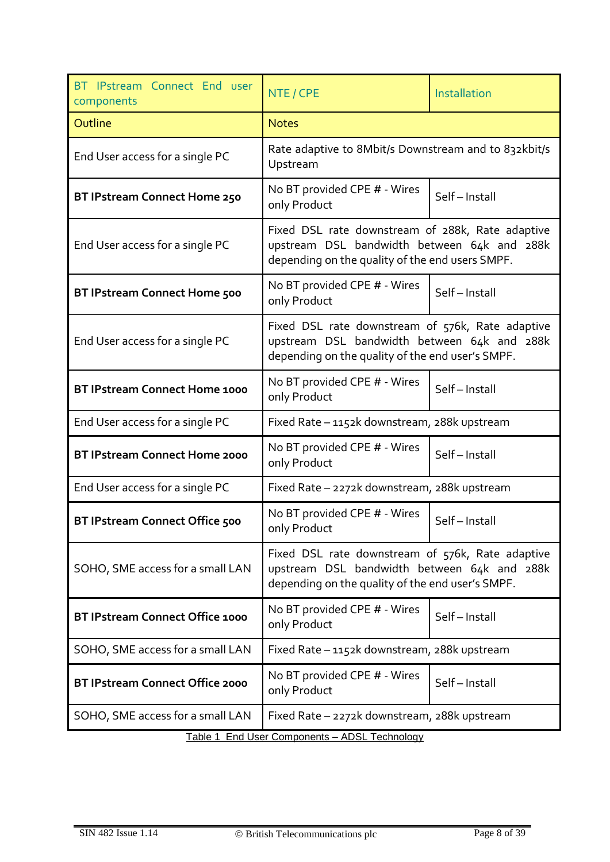<span id="page-7-0"></span>

| BT IPstream Connect End user<br>components | NTE / CPE                                                                                                                                           | Installation |  |
|--------------------------------------------|-----------------------------------------------------------------------------------------------------------------------------------------------------|--------------|--|
| Outline                                    | <b>Notes</b>                                                                                                                                        |              |  |
| End User access for a single PC            | Rate adaptive to 8Mbit/s Downstream and to 832kbit/s<br>Upstream                                                                                    |              |  |
| BT IPstream Connect Home 250               | No BT provided CPE # - Wires<br>only Product                                                                                                        | Self-Install |  |
| End User access for a single PC            | Fixed DSL rate downstream of 288k, Rate adaptive<br>upstream DSL bandwidth between 64k and 288k<br>depending on the quality of the end users SMPF.  |              |  |
| <b>BT IPstream Connect Home 500</b>        | No BT provided CPE # - Wires<br>only Product                                                                                                        | Self-Install |  |
| End User access for a single PC            | Fixed DSL rate downstream of 576k, Rate adaptive<br>upstream DSL bandwidth between 64k and 288k<br>depending on the quality of the end user's SMPF. |              |  |
| <b>BT IPstream Connect Home 1000</b>       | No BT provided CPE # - Wires<br>only Product                                                                                                        | Self-Install |  |
| End User access for a single PC            | Fixed Rate - 1152k downstream, 288k upstream                                                                                                        |              |  |
| <b>BT IPstream Connect Home 2000</b>       | No BT provided CPE # - Wires<br>only Product                                                                                                        | Self-Install |  |
| End User access for a single PC            | Fixed Rate - 2272k downstream, 288k upstream                                                                                                        |              |  |
| BT IPstream Connect Office 500             | No BT provided CPE # - Wires<br>only Product                                                                                                        | Self-Install |  |
| SOHO, SME access for a small LAN           | Fixed DSL rate downstream of 576k, Rate adaptive<br>upstream DSL bandwidth between 64k and 288k<br>depending on the quality of the end user's SMPF. |              |  |
| BT IPstream Connect Office 1000            | No BT provided CPE # - Wires<br>only Product                                                                                                        | Self-Install |  |
| SOHO, SME access for a small LAN           | Fixed Rate - 1152k downstream, 288k upstream                                                                                                        |              |  |
| <b>BT IPstream Connect Office 2000</b>     | No BT provided CPE # - Wires<br>only Product                                                                                                        | Self-Install |  |
| SOHO, SME access for a small LAN           | Fixed Rate - 2272k downstream, 288k upstream                                                                                                        |              |  |
|                                            | Table 1 End User Components - ADSL Technology                                                                                                       |              |  |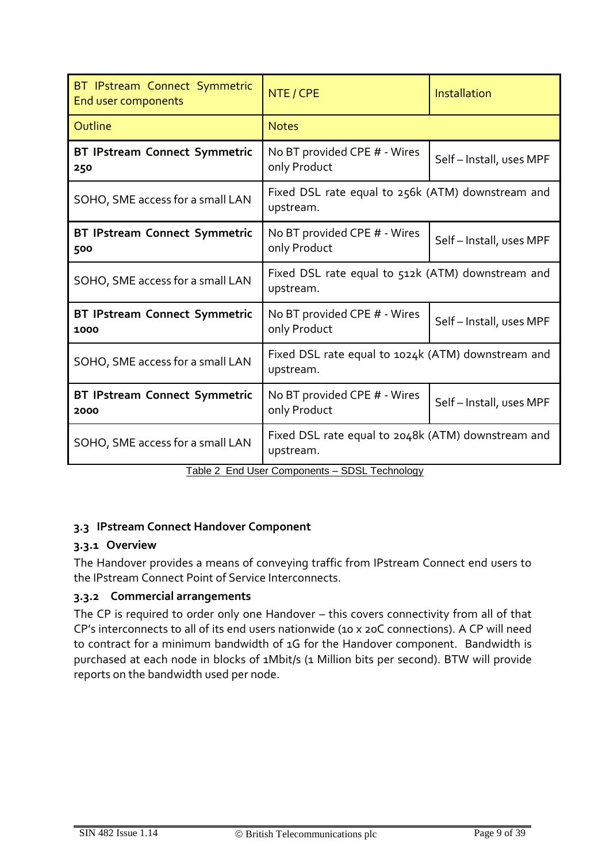| BT IPstream Connect Symmetric<br>End user components                             | NTE / CPE                                                              | <b>Installation</b>    |  |
|----------------------------------------------------------------------------------|------------------------------------------------------------------------|------------------------|--|
| Outline                                                                          | <b>Notes</b>                                                           |                        |  |
| BT IPstream Connect Symmetric<br>250                                             | No BT provided CPE # - Wires<br>only Product                           | Self-Install, uses MPF |  |
| SOHO, SME access for a small LAN                                                 | Fixed DSL rate equal to 256k (ATM) downstream and<br>upstream.         |                        |  |
| BT IPstream Connect Symmetric<br>500                                             | No BT provided CPE # - Wires<br>Self-Install, uses MPF<br>only Product |                        |  |
| SOHO, SME access for a small LAN                                                 | Fixed DSL rate equal to 512k (ATM) downstream and<br>upstream.         |                        |  |
| <b>BT IPstream Connect Symmetric</b><br>1000                                     | No BT provided CPE # - Wires<br>Self-Install, uses MPF<br>only Product |                        |  |
| SOHO, SME access for a small LAN                                                 | Fixed DSL rate equal to 1024k (ATM) downstream and<br>upstream.        |                        |  |
| <b>BT IPstream Connect Symmetric</b><br>2000                                     | No BT provided CPE # - Wires<br>Self-Install, uses MPF<br>only Product |                        |  |
| SOHO, SME access for a small LAN<br>Toble 2 End Lleer Companente CDCL Toobnology | Fixed DSL rate equal to 2048k (ATM) downstream and<br>upstream.        |                        |  |

Table 2 End User Components – SDSL Technology

### <span id="page-8-0"></span>**3.3 IPstream Connect Handover Component**

# **3.3.1 Overview**

The Handover provides a means of conveying traffic from IPstream Connect end users to the IPstream Connect Point of Service Interconnects.

# **3.3.2 Commercial arrangements**

The CP is required to order only one Handover – this covers connectivity from all of that CP's interconnects to all of its end users nationwide (10 x 20C connections). A CP will need to contract for a minimum bandwidth of 1G for the Handover component. Bandwidth is purchased at each node in blocks of 1Mbit/s (1 Million bits per second). BTW will provide reports on the bandwidth used per node.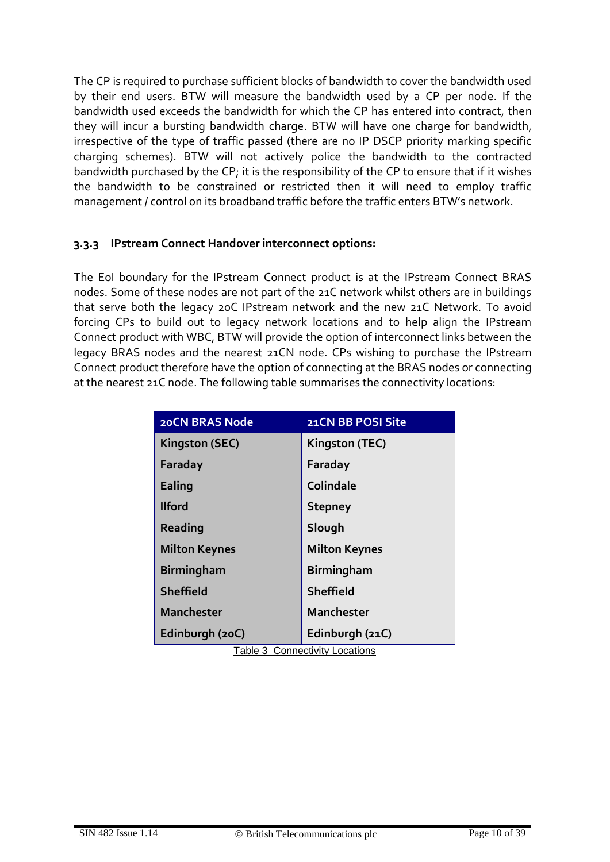The CP is required to purchase sufficient blocks of bandwidth to cover the bandwidth used by their end users. BTW will measure the bandwidth used by a CP per node. If the bandwidth used exceeds the bandwidth for which the CP has entered into contract, then they will incur a bursting bandwidth charge. BTW will have one charge for bandwidth, irrespective of the type of traffic passed (there are no IP DSCP priority marking specific charging schemes). BTW will not actively police the bandwidth to the contracted bandwidth purchased by the CP; it is the responsibility of the CP to ensure that if it wishes the bandwidth to be constrained or restricted then it will need to employ traffic management / control on its broadband traffic before the traffic enters BTW's network.

### **3.3.3 IPstream Connect Handover interconnect options:**

The EoI boundary for the IPstream Connect product is at the IPstream Connect BRAS nodes. Some of these nodes are not part of the 21C network whilst others are in buildings that serve both the legacy 20C IPstream network and the new 21C Network. To avoid forcing CPs to build out to legacy network locations and to help align the IPstream Connect product with WBC, BTW will provide the option of interconnect links between the legacy BRAS nodes and the nearest 21CN node. CPs wishing to purchase the IPstream Connect product therefore have the option of connecting at the BRAS nodes or connecting at the nearest 21C node. The following table summarises the connectivity locations:

| <b>20CN BRAS Node</b> | 21CN BB POSI Site               |
|-----------------------|---------------------------------|
| Kingston (SEC)        | Kingston (TEC)                  |
| Faraday               | Faraday                         |
| Ealing                | Colindale                       |
| <b>Ilford</b>         | <b>Stepney</b>                  |
| Reading               | Slough                          |
| <b>Milton Keynes</b>  | <b>Milton Keynes</b>            |
| <b>Birmingham</b>     | <b>Birmingham</b>               |
| Sheffield             | Sheffield                       |
| <b>Manchester</b>     | <b>Manchester</b>               |
| Edinburgh (20C)       | Edinburgh (21C)                 |
|                       | Tahle 3. Connectivity Locations |

<span id="page-9-0"></span>Table 3 Connectivity Locations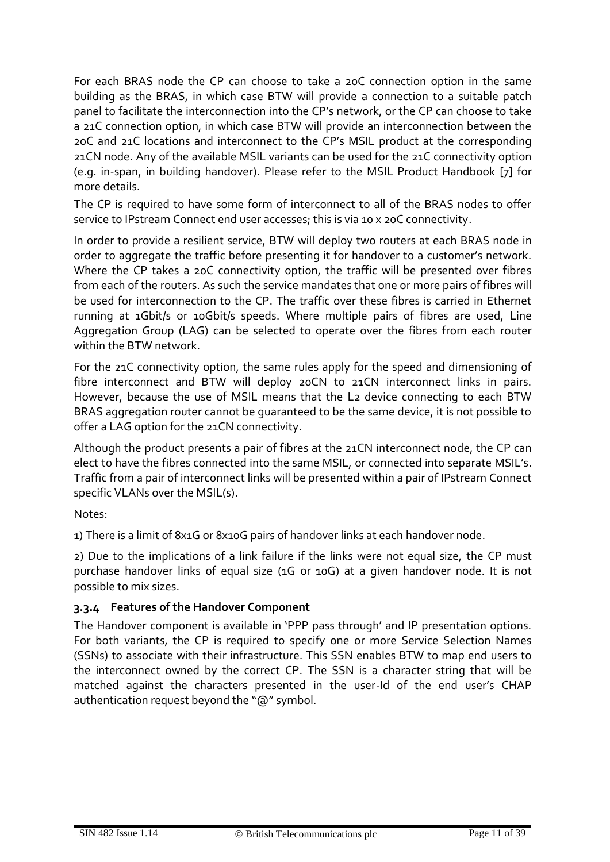For each BRAS node the CP can choose to take a 20C connection option in the same building as the BRAS, in which case BTW will provide a connection to a suitable patch panel to facilitate the interconnection into the CP's network, or the CP can choose to take a 21C connection option, in which case BTW will provide an interconnection between the 20C and 21C locations and interconnect to the CP's MSIL product at the corresponding 21CN node. Any of the available MSIL variants can be used for the 21C connectivity option (e.g. in-span, in building handover). Please refer to the MSIL Product Handbook [\[7\]](#page-32-0) for more details.

The CP is required to have some form of interconnect to all of the BRAS nodes to offer service to IPstream Connect end user accesses; this is via 10 x 20C connectivity.

In order to provide a resilient service, BTW will deploy two routers at each BRAS node in order to aggregate the traffic before presenting it for handover to a customer's network. Where the CP takes a 20C connectivity option, the traffic will be presented over fibres from each of the routers. As such the service mandates that one or more pairs of fibres will be used for interconnection to the CP. The traffic over these fibres is carried in Ethernet running at 1Gbit/s or 10Gbit/s speeds. Where multiple pairs of fibres are used, Line Aggregation Group (LAG) can be selected to operate over the fibres from each router within the BTW network.

For the 21C connectivity option, the same rules apply for the speed and dimensioning of fibre interconnect and BTW will deploy 20CN to 21CN interconnect links in pairs. However, because the use of MSIL means that the L2 device connecting to each BTW BRAS aggregation router cannot be guaranteed to be the same device, it is not possible to offer a LAG option for the 21CN connectivity.

Although the product presents a pair of fibres at the 21CN interconnect node, the CP can elect to have the fibres connected into the same MSIL, or connected into separate MSIL's. Traffic from a pair of interconnect links will be presented within a pair of IPstream Connect specific VLANs over the MSIL(s).

Notes:

1) There is a limit of 8x1G or 8x10G pairs of handover links at each handover node.

2) Due to the implications of a link failure if the links were not equal size, the CP must purchase handover links of equal size (1G or 10G) at a given handover node. It is not possible to mix sizes.

### **3.3.4 Features of the Handover Component**

The Handover component is available in 'PPP pass through' and IP presentation options. For both variants, the CP is required to specify one or more Service Selection Names (SSNs) to associate with their infrastructure. This SSN enables BTW to map end users to the interconnect owned by the correct CP. The SSN is a character string that will be matched against the characters presented in the user-Id of the end user's CHAP authentication request beyond the "@" symbol.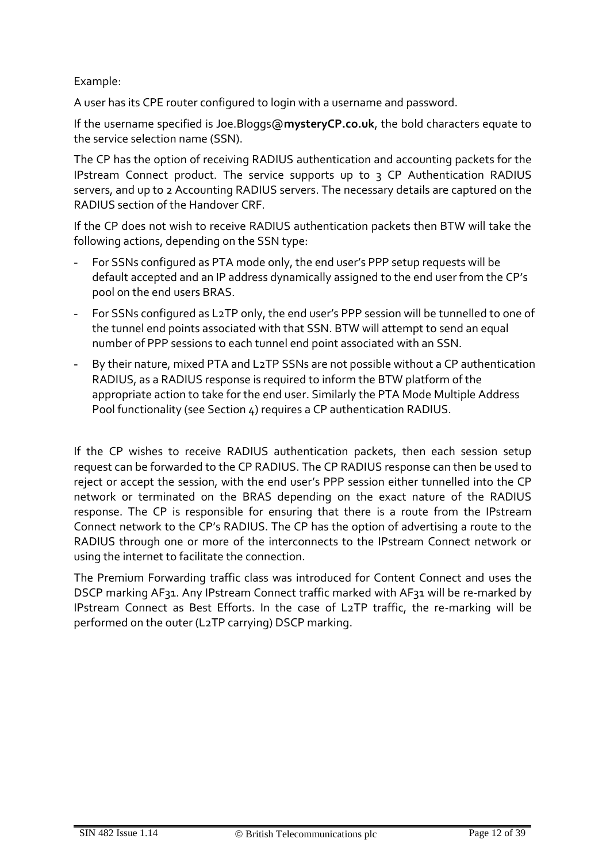Example:

A user has its CPE router configured to login with a username and password.

If the username specified is Joe.Bloggs@**mysteryCP.co.uk**, the bold characters equate to the service selection name (SSN).

The CP has the option of receiving RADIUS authentication and accounting packets for the IPstream Connect product. The service supports up to 3 CP Authentication RADIUS servers, and up to 2 Accounting RADIUS servers. The necessary details are captured on the RADIUS section of the Handover CRF.

If the CP does not wish to receive RADIUS authentication packets then BTW will take the following actions, depending on the SSN type:

- For SSNs configured as PTA mode only, the end user's PPP setup requests will be default accepted and an IP address dynamically assigned to the end user from the CP's pool on the end users BRAS.
- For SSNs configured as L2TP only, the end user's PPP session will be tunnelled to one of the tunnel end points associated with that SSN. BTW will attempt to send an equal number of PPP sessions to each tunnel end point associated with an SSN.
- By their nature, mixed PTA and L2TP SSNs are not possible without a CP authentication RADIUS, as a RADIUS response is required to inform the BTW platform of the appropriate action to take for the end user. Similarly the PTA Mode Multiple Address Pool functionality (see Section 4) requires a CP authentication RADIUS.

If the CP wishes to receive RADIUS authentication packets, then each session setup request can be forwarded to the CP RADIUS. The CP RADIUS response can then be used to reject or accept the session, with the end user's PPP session either tunnelled into the CP network or terminated on the BRAS depending on the exact nature of the RADIUS response. The CP is responsible for ensuring that there is a route from the IPstream Connect network to the CP's RADIUS. The CP has the option of advertising a route to the RADIUS through one or more of the interconnects to the IPstream Connect network or using the internet to facilitate the connection.

The Premium Forwarding traffic class was introduced for Content Connect and uses the DSCP marking AF31. Any IPstream Connect traffic marked with AF31 will be re-marked by IPstream Connect as Best Efforts. In the case of L2TP traffic, the re-marking will be performed on the outer (L2TP carrying) DSCP marking.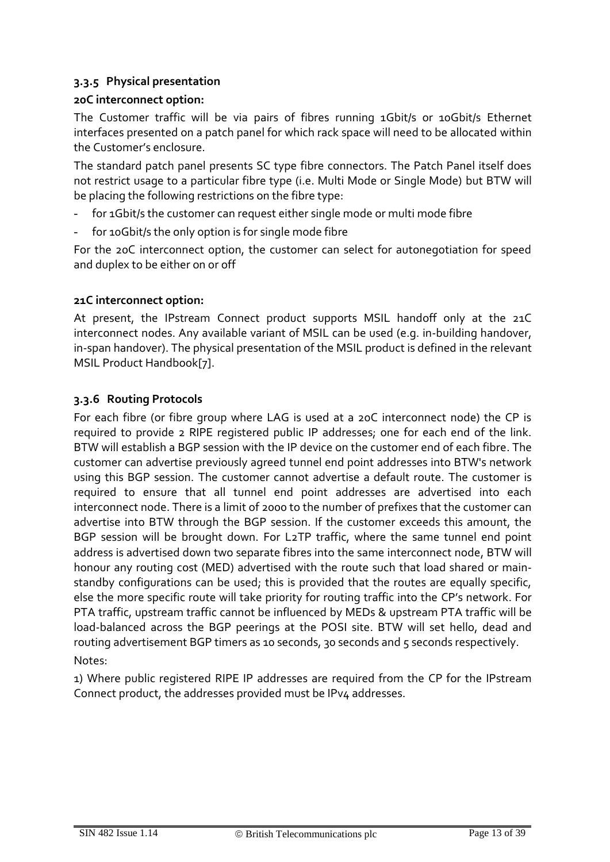# **3.3.5 Physical presentation**

### **20C interconnect option:**

The Customer traffic will be via pairs of fibres running 1Gbit/s or 10Gbit/s Ethernet interfaces presented on a patch panel for which rack space will need to be allocated within the Customer's enclosure.

The standard patch panel presents SC type fibre connectors. The Patch Panel itself does not restrict usage to a particular fibre type (i.e. Multi Mode or Single Mode) but BTW will be placing the following restrictions on the fibre type:

- for 1Gbit/s the customer can request either single mode or multi mode fibre
- for 10Gbit/s the only option is for single mode fibre

For the 20C interconnect option, the customer can select for autonegotiation for speed and duplex to be either on or off

### **21C interconnect option:**

At present, the IPstream Connect product supports MSIL handoff only at the 21C interconnect nodes. Any available variant of MSIL can be used (e.g. in-building handover, in-span handover). The physical presentation of the MSIL product is defined in the relevant MSIL Product Handboo[k\[7\].](#page-32-0)

### **3.3.6 Routing Protocols**

For each fibre (or fibre group where LAG is used at a 20C interconnect node) the CP is required to provide 2 RIPE registered public IP addresses; one for each end of the link. BTW will establish a BGP session with the IP device on the customer end of each fibre. The customer can advertise previously agreed tunnel end point addresses into BTW's network using this BGP session. The customer cannot advertise a default route. The customer is required to ensure that all tunnel end point addresses are advertised into each interconnect node. There is a limit of 2000 to the number of prefixes that the customer can advertise into BTW through the BGP session. If the customer exceeds this amount, the BGP session will be brought down. For L2TP traffic, where the same tunnel end point address is advertised down two separate fibres into the same interconnect node, BTW will honour any routing cost (MED) advertised with the route such that load shared or mainstandby configurations can be used; this is provided that the routes are equally specific, else the more specific route will take priority for routing traffic into the CP's network. For PTA traffic, upstream traffic cannot be influenced by MEDs & upstream PTA traffic will be load-balanced across the BGP peerings at the POSI site. BTW will set hello, dead and routing advertisement BGP timers as 10 seconds, 30 seconds and 5 seconds respectively. Notes:

1) Where public registered RIPE IP addresses are required from the CP for the IPstream Connect product, the addresses provided must be IPv4 addresses.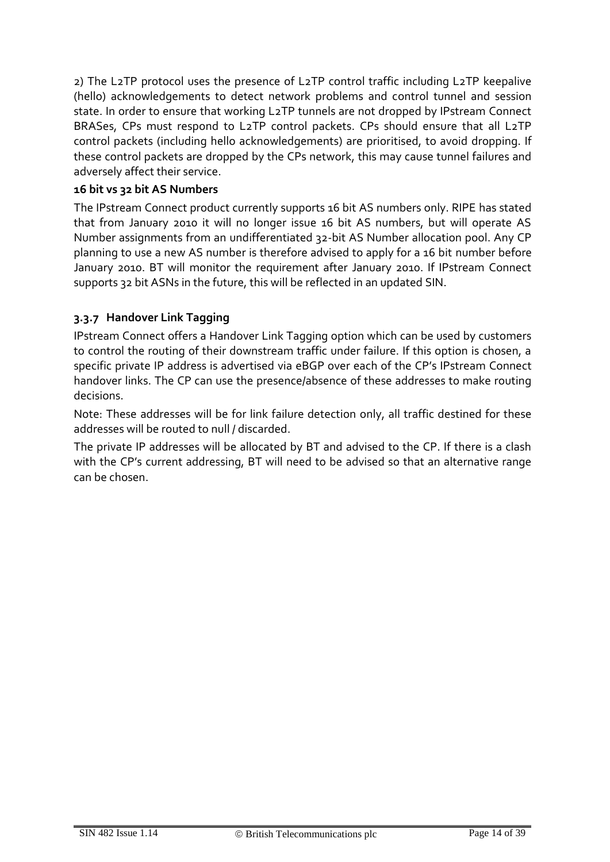2) The L2TP protocol uses the presence of L2TP control traffic including L2TP keepalive (hello) acknowledgements to detect network problems and control tunnel and session state. In order to ensure that working L2TP tunnels are not dropped by IPstream Connect BRASes, CPs must respond to L2TP control packets. CPs should ensure that all L2TP control packets (including hello acknowledgements) are prioritised, to avoid dropping. If these control packets are dropped by the CPs network, this may cause tunnel failures and adversely affect their service.

### **16 bit vs 32 bit AS Numbers**

The IPstream Connect product currently supports 16 bit AS numbers only. RIPE has stated that from January 2010 it will no longer issue 16 bit AS numbers, but will operate AS Number assignments from an undifferentiated 32-bit AS Number allocation pool. Any CP planning to use a new AS number is therefore advised to apply for a 16 bit number before January 2010. BT will monitor the requirement after January 2010. If IPstream Connect supports 32 bit ASNs in the future, this will be reflected in an updated SIN.

# **3.3.7 Handover Link Tagging**

IPstream Connect offers a Handover Link Tagging option which can be used by customers to control the routing of their downstream traffic under failure. If this option is chosen, a specific private IP address is advertised via eBGP over each of the CP's IPstream Connect handover links. The CP can use the presence/absence of these addresses to make routing decisions.

Note: These addresses will be for link failure detection only, all traffic destined for these addresses will be routed to null / discarded.

The private IP addresses will be allocated by BT and advised to the CP. If there is a clash with the CP's current addressing, BT will need to be advised so that an alternative range can be chosen.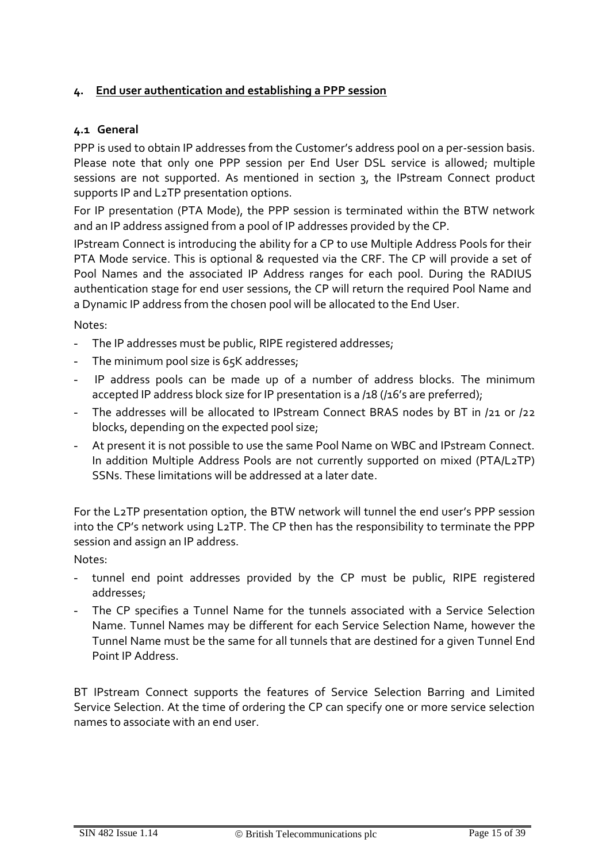### **4. End user authentication and establishing a PPP session**

### **4.1 General**

PPP is used to obtain IP addresses from the Customer's address pool on a per-session basis. Please note that only one PPP session per End User DSL service is allowed; multiple sessions are not supported. As mentioned in section 3, the IPstream Connect product supports IP and L2TP presentation options.

For IP presentation (PTA Mode), the PPP session is terminated within the BTW network and an IP address assigned from a pool of IP addresses provided by the CP.

IPstream Connect is introducing the ability for a CP to use Multiple Address Pools for their PTA Mode service. This is optional & requested via the CRF. The CP will provide a set of Pool Names and the associated IP Address ranges for each pool. During the RADIUS authentication stage for end user sessions, the CP will return the required Pool Name and a Dynamic IP address from the chosen pool will be allocated to the End User.

Notes:

- The IP addresses must be public, RIPE registered addresses;
- The minimum pool size is 65K addresses;
- IP address pools can be made up of a number of address blocks. The minimum accepted IP address block size for IP presentation is a /18 (/16's are preferred);
- The addresses will be allocated to IPstream Connect BRAS nodes by BT in /21 or /22 blocks, depending on the expected pool size;
- At present it is not possible to use the same Pool Name on WBC and IPstream Connect. In addition Multiple Address Pools are not currently supported on mixed (PTA/L2TP) SSNs. These limitations will be addressed at a later date.

For the L2TP presentation option, the BTW network will tunnel the end user's PPP session into the CP's network using L2TP. The CP then has the responsibility to terminate the PPP session and assign an IP address.

Notes:

- tunnel end point addresses provided by the CP must be public, RIPE registered addresses;
- The CP specifies a Tunnel Name for the tunnels associated with a Service Selection Name. Tunnel Names may be different for each Service Selection Name, however the Tunnel Name must be the same for all tunnels that are destined for a given Tunnel End Point IP Address.

BT IPstream Connect supports the features of Service Selection Barring and Limited Service Selection. At the time of ordering the CP can specify one or more service selection names to associate with an end user.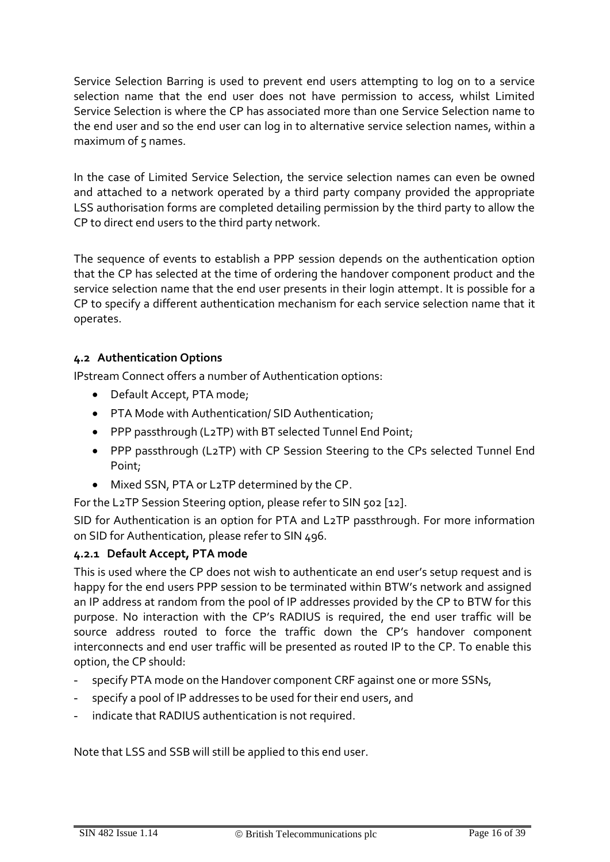Service Selection Barring is used to prevent end users attempting to log on to a service selection name that the end user does not have permission to access, whilst Limited Service Selection is where the CP has associated more than one Service Selection name to the end user and so the end user can log in to alternative service selection names, within a maximum of  $5$  names.

In the case of Limited Service Selection, the service selection names can even be owned and attached to a network operated by a third party company provided the appropriate LSS authorisation forms are completed detailing permission by the third party to allow the CP to direct end users to the third party network.

The sequence of events to establish a PPP session depends on the authentication option that the CP has selected at the time of ordering the handover component product and the service selection name that the end user presents in their login attempt. It is possible for a CP to specify a different authentication mechanism for each service selection name that it operates.

# **4.2 Authentication Options**

IPstream Connect offers a number of Authentication options:

- Default Accept, PTA mode;
- PTA Mode with Authentication/ SID Authentication;
- PPP passthrough (L2TP) with BT selected Tunnel End Point;
- PPP passthrough (L2TP) with CP Session Steering to the CPs selected Tunnel End Point;
- Mixed SSN, PTA or L2TP determined by the CP.

For the L2TP Session Steering option, please refer to SIN 502 [12].

SID for Authentication is an option for PTA and L2TP passthrough. For more information on SID for Authentication, please refer to SIN 496.

# **4.2.1 Default Accept, PTA mode**

This is used where the CP does not wish to authenticate an end user's setup request and is happy for the end users PPP session to be terminated within BTW's network and assigned an IP address at random from the pool of IP addresses provided by the CP to BTW for this purpose. No interaction with the CP's RADIUS is required, the end user traffic will be source address routed to force the traffic down the CP's handover component interconnects and end user traffic will be presented as routed IP to the CP. To enable this option, the CP should:

- specify PTA mode on the Handover component CRF against one or more SSNs,
- specify a pool of IP addresses to be used for their end users, and
- indicate that RADIUS authentication is not required.

Note that LSS and SSB will still be applied to this end user.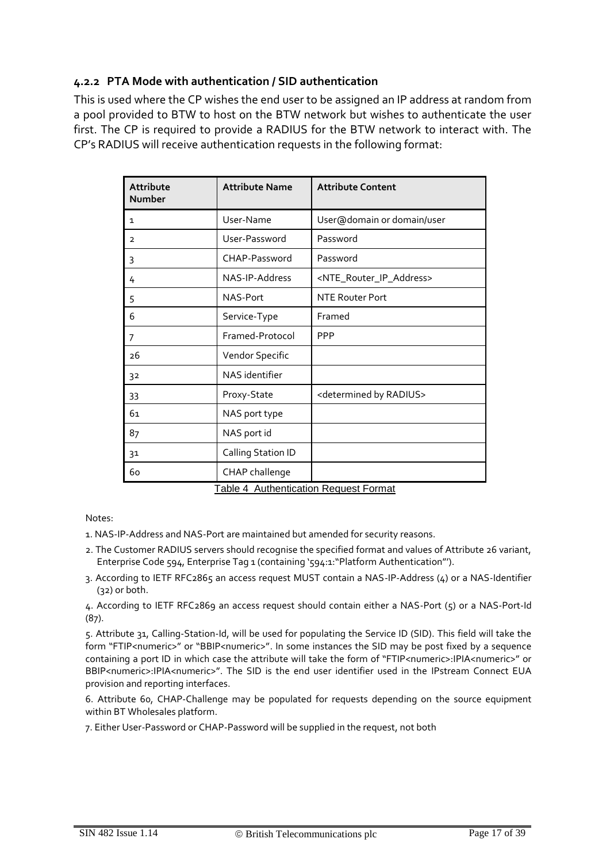# **4.2.2 PTA Mode with authentication / SID authentication**

This is used where the CP wishes the end user to be assigned an IP address at random from a pool provided to BTW to host on the BTW network but wishes to authenticate the user first. The CP is required to provide a RADIUS for the BTW network to interact with. The CP's RADIUS will receive authentication requests in the following format:

| User-Name | User@domain or domain/user                                                                                                                                                                                                                                                  |
|-----------|-----------------------------------------------------------------------------------------------------------------------------------------------------------------------------------------------------------------------------------------------------------------------------|
|           | Password                                                                                                                                                                                                                                                                    |
|           | Password                                                                                                                                                                                                                                                                    |
|           | <nte_router_ip_address></nte_router_ip_address>                                                                                                                                                                                                                             |
|           | <b>NTE Router Port</b>                                                                                                                                                                                                                                                      |
|           | Framed                                                                                                                                                                                                                                                                      |
|           | <b>PPP</b>                                                                                                                                                                                                                                                                  |
|           |                                                                                                                                                                                                                                                                             |
|           |                                                                                                                                                                                                                                                                             |
|           | <determined by="" radius=""></determined>                                                                                                                                                                                                                                   |
|           |                                                                                                                                                                                                                                                                             |
|           |                                                                                                                                                                                                                                                                             |
|           |                                                                                                                                                                                                                                                                             |
|           |                                                                                                                                                                                                                                                                             |
|           | User-Password<br>CHAP-Password<br>NAS-IP-Address<br>NAS-Port<br>Service-Type<br>Framed-Protocol<br>Vendor Specific<br>NAS identifier<br>Proxy-State<br>NAS port type<br>NAS port id<br>Calling Station ID<br>CHAP challenge<br><b>Table 4 Authentication Request Format</b> |

<span id="page-16-0"></span>Notes:

1. NAS-IP-Address and NAS-Port are maintained but amended for security reasons.

- 2. The Customer RADIUS servers should recognise the specified format and values of Attribute 26 variant, Enterprise Code 594, Enterprise Tag 1 (containing '594:1:"Platform Authentication"').
- 3. According to IETF RFC2865 an access request MUST contain a NAS-IP-Address (4) or a NAS-Identifier (32) or both.

4. According to IETF RFC2869 an access request should contain either a NAS-Port (5) or a NAS-Port-Id (87).

5. Attribute 31, Calling-Station-Id, will be used for populating the Service ID (SID). This field will take the form "FTIP<numeric>" or "BBIP<numeric>". In some instances the SID may be post fixed by a sequence containing a port ID in which case the attribute will take the form of "FTIP<numeric>:IPIA<numeric>" or BBIP<numeric>:IPIA<numeric>". The SID is the end user identifier used in the IPstream Connect EUA provision and reporting interfaces.

6. Attribute 60, CHAP-Challenge may be populated for requests depending on the source equipment within BT Wholesales platform.

7. Either User-Password or CHAP-Password will be supplied in the request, not both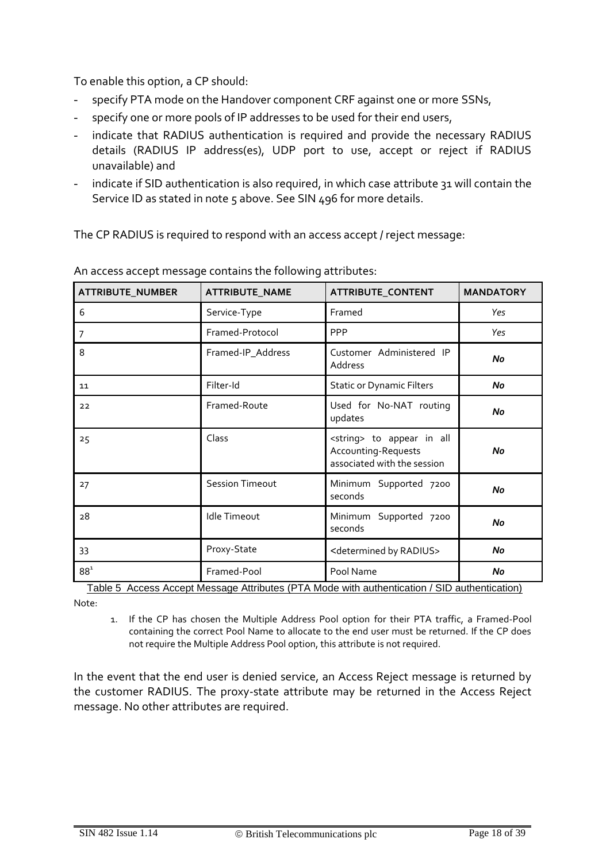To enable this option, a CP should:

- specify PTA mode on the Handover component CRF against one or more SSNs,
- specify one or more pools of IP addresses to be used for their end users,
- indicate that RADIUS authentication is required and provide the necessary RADIUS details (RADIUS IP address(es), UDP port to use, accept or reject if RADIUS unavailable) and
- indicate if SID authentication is also required, in which case attribute 31 will contain the Service ID as stated in note 5 above. See SIN 496 for more details.

The CP RADIUS is required to respond with an access accept / reject message:

| ATTRIBUTE_NUMBER | ATTRIBUTE_NAME         | ATTRIBUTE_CONTENT                                                                          | <b>MANDATORY</b> |
|------------------|------------------------|--------------------------------------------------------------------------------------------|------------------|
| 6                | Service-Type           | Framed                                                                                     | Yes              |
| 7                | Framed-Protocol        | <b>PPP</b>                                                                                 | Yes              |
| 8                | Framed-IP_Address      | Customer Administered IP<br>Address                                                        | No               |
| 11               | Filter-Id              | <b>Static or Dynamic Filters</b>                                                           | No               |
| 22               | Framed-Route           | Used for No-NAT routing<br>updates                                                         | No               |
| 25               | Class                  | <string> to appear in all<br/>Accounting-Requests<br/>associated with the session</string> | No               |
| 27               | <b>Session Timeout</b> | Minimum Supported 7200<br>seconds                                                          | No               |
| 28               | <b>Idle Timeout</b>    | Minimum<br>Supported 7200<br>seconds                                                       | No               |
| 33               | Proxy-State            | <determined by="" radius=""></determined>                                                  | No               |
| $88^1$           | Framed-Pool            | Pool Name                                                                                  | No               |

An access accept message contains the following attributes:

<span id="page-17-0"></span>Table 5 Access Accept Message Attributes (PTA Mode with authentication / SID authentication)

Note:

1. If the CP has chosen the Multiple Address Pool option for their PTA traffic, a Framed-Pool containing the correct Pool Name to allocate to the end user must be returned. If the CP does not require the Multiple Address Pool option, this attribute is not required.

In the event that the end user is denied service, an Access Reject message is returned by the customer RADIUS. The proxy-state attribute may be returned in the Access Reject message. No other attributes are required.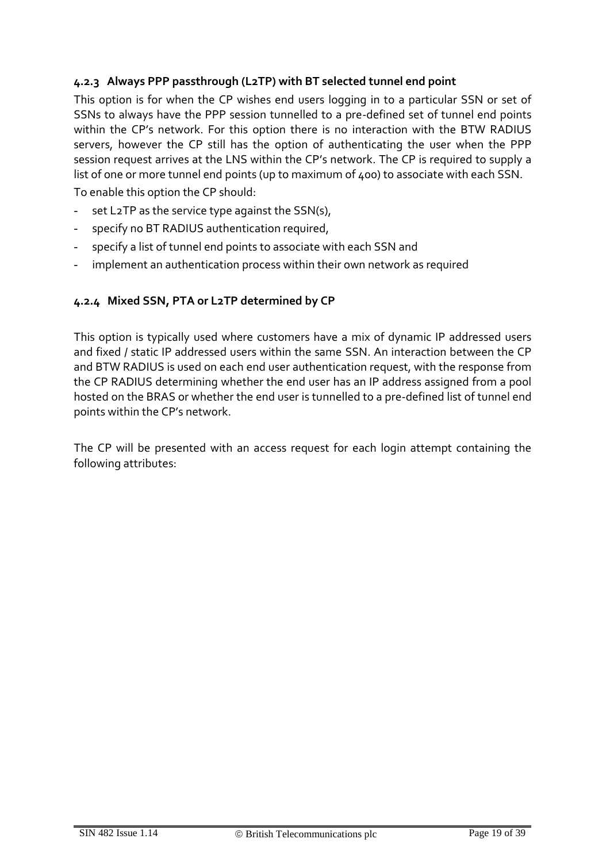# **4.2.3 Always PPP passthrough (L2TP) with BT selected tunnel end point**

This option is for when the CP wishes end users logging in to a particular SSN or set of SSNs to always have the PPP session tunnelled to a pre-defined set of tunnel end points within the CP's network. For this option there is no interaction with the BTW RADIUS servers, however the CP still has the option of authenticating the user when the PPP session request arrives at the LNS within the CP's network. The CP is required to supply a list of one or more tunnel end points (up to maximum of 400) to associate with each SSN.

To enable this option the CP should:

- set L2TP as the service type against the SSN(s),
- specify no BT RADIUS authentication required,
- specify a list of tunnel end points to associate with each SSN and
- implement an authentication process within their own network as required

#### **4.2.4 Mixed SSN, PTA or L2TP determined by CP**

This option is typically used where customers have a mix of dynamic IP addressed users and fixed / static IP addressed users within the same SSN. An interaction between the CP and BTW RADIUS is used on each end user authentication request, with the response from the CP RADIUS determining whether the end user has an IP address assigned from a pool hosted on the BRAS or whether the end user is tunnelled to a pre-defined list of tunnel end points within the CP's network.

The CP will be presented with an access request for each login attempt containing the following attributes: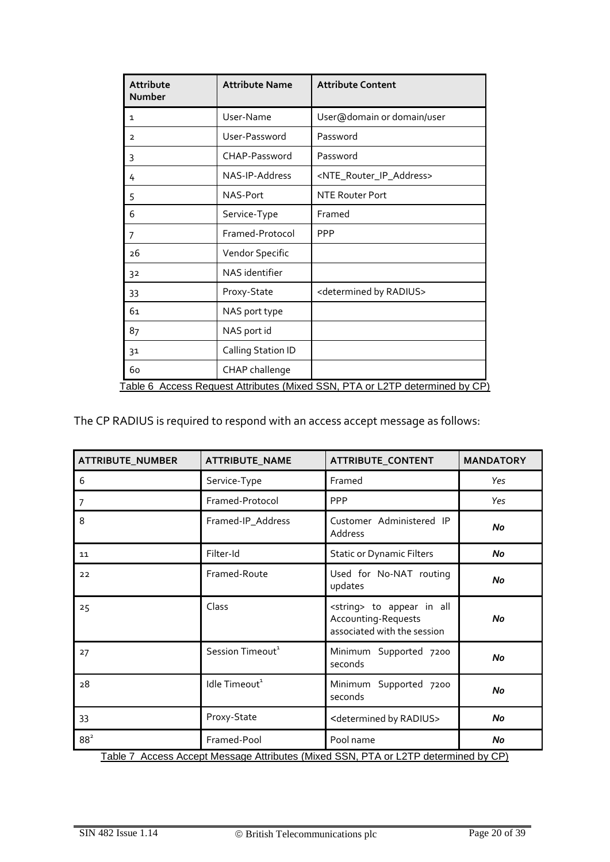| Attribute<br>Number                                                         | <b>Attribute Name</b> | <b>Attribute Content</b>                        |  |  |  |
|-----------------------------------------------------------------------------|-----------------------|-------------------------------------------------|--|--|--|
| 1                                                                           | User-Name             | User@domain or domain/user                      |  |  |  |
| $\overline{2}$                                                              | User-Password         | Password                                        |  |  |  |
| 3                                                                           | CHAP-Password         | Password                                        |  |  |  |
| 4                                                                           | NAS-IP-Address        | <nte_router_ip_address></nte_router_ip_address> |  |  |  |
| 5                                                                           | NAS-Port              | NTE Router Port                                 |  |  |  |
| 6                                                                           | Service-Type          | Framed                                          |  |  |  |
| 7                                                                           | Framed-Protocol       | <b>PPP</b>                                      |  |  |  |
| 26                                                                          | Vendor Specific       |                                                 |  |  |  |
| 32                                                                          | NAS identifier        |                                                 |  |  |  |
| 33                                                                          | Proxy-State           | <determined by="" radius=""></determined>       |  |  |  |
| 61                                                                          | NAS port type         |                                                 |  |  |  |
| 87                                                                          | NAS port id           |                                                 |  |  |  |
| 31                                                                          | Calling Station ID    |                                                 |  |  |  |
| 60                                                                          | CHAP challenge        |                                                 |  |  |  |
| Table 6 Access Request Attributes (Mixed SSN, PTA or L2TP determined by CP) |                       |                                                 |  |  |  |

<span id="page-19-0"></span>The CP RADIUS is required to respond with an access accept message as follows:

| <b>ATTRIBUTE_NUMBER</b> | <b>ATTRIBUTE_NAME</b>        | ATTRIBUTE_CONTENT                                                                          | <b>MANDATORY</b> |
|-------------------------|------------------------------|--------------------------------------------------------------------------------------------|------------------|
| 6                       | Service-Type                 | Framed                                                                                     | Yes              |
| 7                       | Framed-Protocol              | PPP                                                                                        | Yes              |
| 8                       | Framed-IP_Address            | Customer Administered IP<br>Address                                                        | No               |
| 11                      | Filter-Id                    | <b>Static or Dynamic Filters</b>                                                           | No               |
| 22                      | Framed-Route                 | Used for No-NAT routing<br>updates                                                         | No               |
| 25                      | Class                        | <string> to appear in all<br/>Accounting-Requests<br/>associated with the session</string> | No               |
| 27                      | Session Timeout <sup>1</sup> | Supported 7200<br>Minimum<br>seconds                                                       | No               |
| 28                      | Idle Timeout <sup>1</sup>    | Supported 7200<br>Minimum<br>seconds                                                       | No               |
| 33                      | Proxy-State                  | <determined by="" radius=""></determined>                                                  | No               |
| $88^2$                  | Framed-Pool                  | Pool name                                                                                  | No               |

<span id="page-19-1"></span>Table 7 Access Accept Message Attributes (Mixed SSN, PTA or L2TP determined by CP)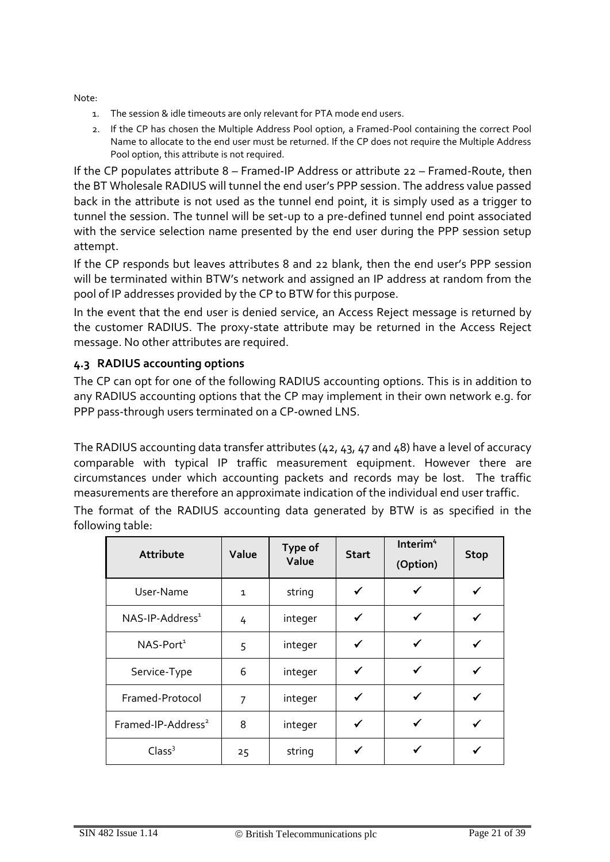Note:

- 1. The session & idle timeouts are only relevant for PTA mode end users.
- 2. If the CP has chosen the Multiple Address Pool option, a Framed-Pool containing the correct Pool Name to allocate to the end user must be returned. If the CP does not require the Multiple Address Pool option, this attribute is not required.

If the CP populates attribute 8 – Framed-IP Address or attribute 22 – Framed-Route, then the BT Wholesale RADIUS will tunnel the end user's PPP session. The address value passed back in the attribute is not used as the tunnel end point, it is simply used as a trigger to tunnel the session. The tunnel will be set-up to a pre-defined tunnel end point associated with the service selection name presented by the end user during the PPP session setup attempt.

If the CP responds but leaves attributes 8 and 22 blank, then the end user's PPP session will be terminated within BTW's network and assigned an IP address at random from the pool of IP addresses provided by the CP to BTW for this purpose.

In the event that the end user is denied service, an Access Reject message is returned by the customer RADIUS. The proxy-state attribute may be returned in the Access Reject message. No other attributes are required.

# **4.3 RADIUS accounting options**

The CP can opt for one of the following RADIUS accounting options. This is in addition to any RADIUS accounting options that the CP may implement in their own network e.g. for PPP pass-through users terminated on a CP-owned LNS.

The RADIUS accounting data transfer attributes (42, 43, 47 and 48) have a level of accuracy comparable with typical IP traffic measurement equipment. However there are circumstances under which accounting packets and records may be lost. The traffic measurements are therefore an approximate indication of the individual end user traffic.

The format of the RADIUS accounting data generated by BTW is as specified in the following table:

| Attribute                      | Value          | Type of<br>Value | <b>Start</b> | Interim <sup>4</sup><br>(Option) | <b>Stop</b> |
|--------------------------------|----------------|------------------|--------------|----------------------------------|-------------|
| User-Name                      | $\mathbf{1}$   | string           | ✓            | ✔                                |             |
| NAS-IP-Address <sup>1</sup>    | 4              | integer          | $\checkmark$ | ✓                                |             |
| NAS-Port <sup>1</sup>          | 5              | integer          | $\checkmark$ | $\checkmark$                     |             |
| Service-Type                   | 6              | integer          | ✓            | $\checkmark$                     |             |
| Framed-Protocol                | $\overline{7}$ | integer          | ✓            | ✓                                |             |
| Framed-IP-Address <sup>2</sup> | 8              | integer          | ✓            | ✓                                |             |
| Class <sup>3</sup>             | 25             | string           | ✔            |                                  |             |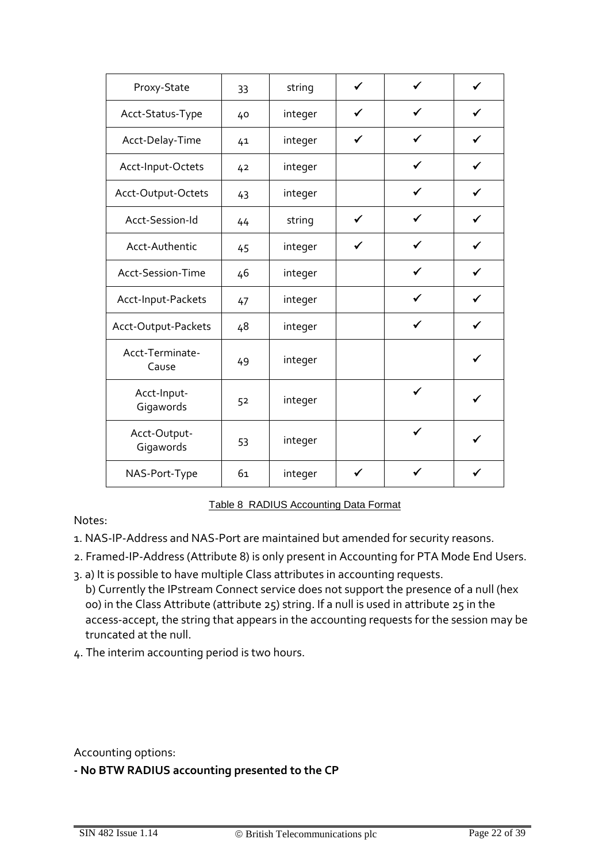| Proxy-State               | 33 | string  | ✓            | ✓ |              |
|---------------------------|----|---------|--------------|---|--------------|
| Acct-Status-Type          | 40 | integer |              |   |              |
| Acct-Delay-Time           | 41 | integer | ✓            | ✔ |              |
| Acct-Input-Octets         | 42 | integer |              | ✓ |              |
| Acct-Output-Octets        | 43 | integer |              | ✔ |              |
| Acct-Session-Id           | 44 | string  | $\checkmark$ | ✓ | $\checkmark$ |
| Acct-Authentic            | 45 | integer | ✔            |   |              |
| Acct-Session-Time         | 46 | integer |              | ✓ |              |
| Acct-Input-Packets        | 47 | integer |              | ✔ |              |
| Acct-Output-Packets       | 48 | integer |              | ✓ |              |
| Acct-Terminate-<br>Cause  | 49 | integer |              |   | ✔            |
| Acct-Input-<br>Gigawords  | 52 | integer |              | ✓ |              |
| Acct-Output-<br>Gigawords | 53 | integer |              | ✓ |              |
| NAS-Port-Type             | 61 | integer | ✓            |   |              |

Table 8 RADIUS Accounting Data Format

<span id="page-21-0"></span>Notes:

- 1. NAS-IP-Address and NAS-Port are maintained but amended for security reasons.
- 2. Framed-IP-Address (Attribute 8) is only present in Accounting for PTA Mode End Users.
- 3. a) It is possible to have multiple Class attributes in accounting requests. b) Currently the IPstream Connect service does not support the presence of a null (hex 00) in the Class Attribute (attribute 25) string. If a null is used in attribute 25 in the access-accept, the string that appears in the accounting requests for the session may be truncated at the null.
- 4. The interim accounting period is two hours.

Accounting options:

**- No BTW RADIUS accounting presented to the CP**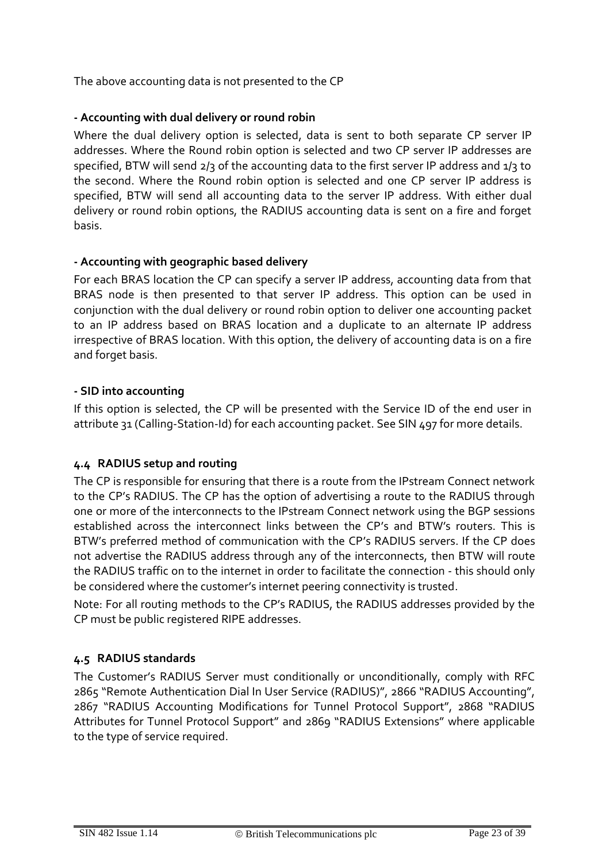The above accounting data is not presented to the CP

# **- Accounting with dual delivery or round robin**

Where the dual delivery option is selected, data is sent to both separate CP server IP addresses. Where the Round robin option is selected and two CP server IP addresses are specified, BTW will send 2/3 of the accounting data to the first server IP address and 1/3 to the second. Where the Round robin option is selected and one CP server IP address is specified, BTW will send all accounting data to the server IP address. With either dual delivery or round robin options, the RADIUS accounting data is sent on a fire and forget basis.

# **- Accounting with geographic based delivery**

For each BRAS location the CP can specify a server IP address, accounting data from that BRAS node is then presented to that server IP address. This option can be used in conjunction with the dual delivery or round robin option to deliver one accounting packet to an IP address based on BRAS location and a duplicate to an alternate IP address irrespective of BRAS location. With this option, the delivery of accounting data is on a fire and forget basis.

# **- SID into accounting**

If this option is selected, the CP will be presented with the Service ID of the end user in attribute 31 (Calling-Station-Id) for each accounting packet. See SIN 497 for more details.

# **4.4 RADIUS setup and routing**

The CP is responsible for ensuring that there is a route from the IPstream Connect network to the CP's RADIUS. The CP has the option of advertising a route to the RADIUS through one or more of the interconnects to the IPstream Connect network using the BGP sessions established across the interconnect links between the CP's and BTW's routers. This is BTW's preferred method of communication with the CP's RADIUS servers. If the CP does not advertise the RADIUS address through any of the interconnects, then BTW will route the RADIUS traffic on to the internet in order to facilitate the connection - this should only be considered where the customer's internet peering connectivity is trusted.

Note: For all routing methods to the CP's RADIUS, the RADIUS addresses provided by the CP must be public registered RIPE addresses.

# **4.5 RADIUS standards**

The Customer's RADIUS Server must conditionally or unconditionally, comply with RFC 2865 "Remote Authentication Dial In User Service (RADIUS)", 2866 "RADIUS Accounting", 2867 "RADIUS Accounting Modifications for Tunnel Protocol Support", 2868 "RADIUS Attributes for Tunnel Protocol Support" and 2869 "RADIUS Extensions" where applicable to the type of service required.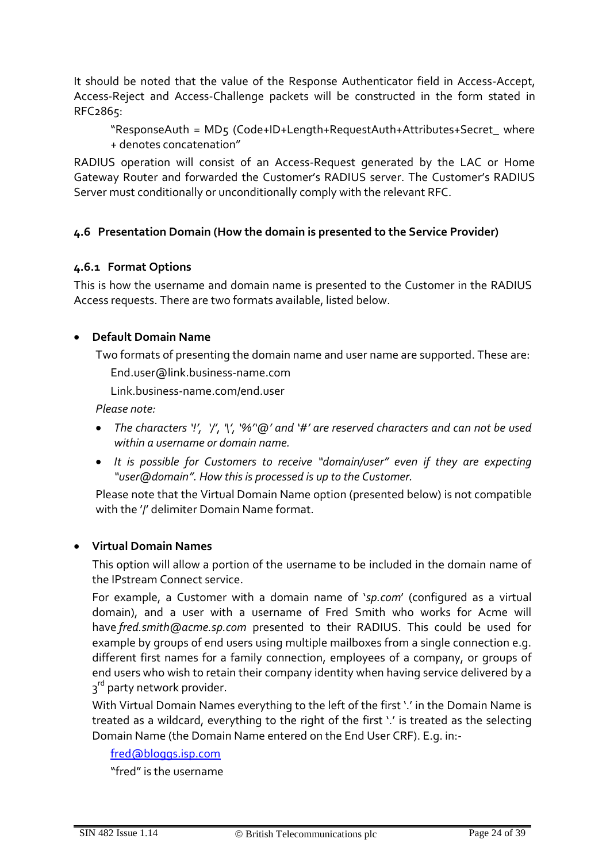It should be noted that the value of the Response Authenticator field in Access-Accept, Access-Reject and Access-Challenge packets will be constructed in the form stated in RFC2865:

"ResponseAuth = MD5 (Code+ID+Length+RequestAuth+Attributes+Secret\_ where + denotes concatenation"

RADIUS operation will consist of an Access-Request generated by the LAC or Home Gateway Router and forwarded the Customer's RADIUS server. The Customer's RADIUS Server must conditionally or unconditionally comply with the relevant RFC.

# **4.6 Presentation Domain (How the domain is presented to the Service Provider)**

### **4.6.1 Format Options**

This is how the username and domain name is presented to the Customer in the RADIUS Access requests. There are two formats available, listed below.

# **Default Domain Name**

Two formats of presenting the domain name and user name are supported. These are: [End.user@link.business-name.com](mailto:End.user@link.business-name.com)

Link.business-name.com/end.user

*Please note:* 

- *The characters '!', '/', '\', '%''@' and '#' are reserved characters and can not be used within a username or domain name.*
- *It is possible for Customers to receive "domain/user" even if they are expecting "user@domain". How this is processed is up to the Customer.*

Please note that the Virtual Domain Name option (presented below) is not compatible with the '/' delimiter Domain Name format.

### **Virtual Domain Names**

This option will allow a portion of the username to be included in the domain name of the IPstream Connect service.

For example, a Customer with a domain name of '*sp.com*' (configured as a virtual domain), and a user with a username of Fred Smith who works for Acme will have *[fred.smith@acme.sp.com](mailto:fred.smith@acme.sp.com)* presented to their RADIUS. This could be used for example by groups of end users using multiple mailboxes from a single connection e.g. different first names for a family connection, employees of a company, or groups of end users who wish to retain their company identity when having service delivered by a 3<sup>rd</sup> party network provider.

With Virtual Domain Names everything to the left of the first '.' in the Domain Name is treated as a wildcard, everything to the right of the first '.' is treated as the selecting Domain Name (the Domain Name entered on the End User CRF). E.g. in:-

#### [fred@bloggs.isp.com](mailto:fred@bloggs.isp.com)

"fred" is the username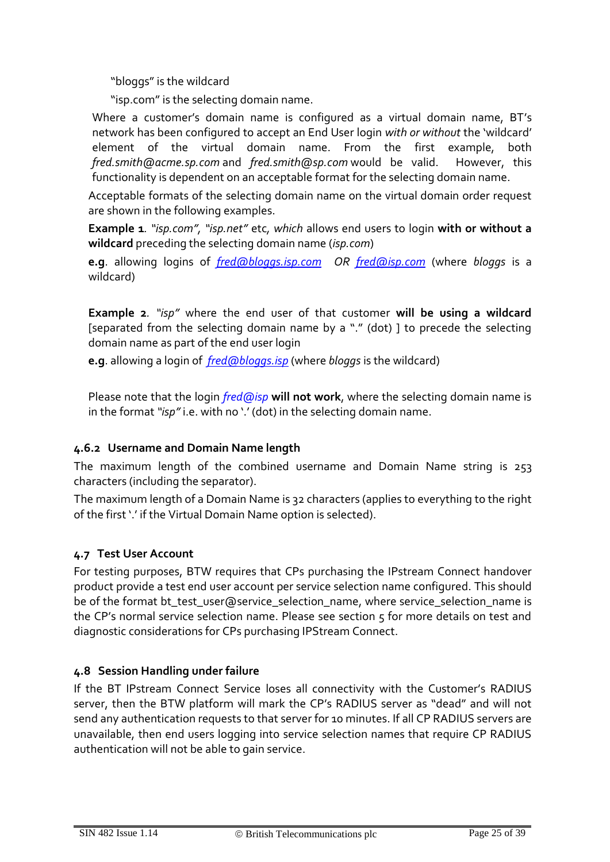"bloggs" is the wildcard

"isp.com" is the selecting domain name.

Where a customer's domain name is configured as a virtual domain name, BT's network has been configured to accept an End User login *with or without* the 'wildcard' element of the virtual domain name. From the first example, both *[fred.smith@acme.sp.com](mailto:fred.smith@acme.sp.com)* and *[fred.smith@sp.com](mailto:fred.smith@sp.com)* would be valid. However, this functionality is dependent on an acceptable format for the selecting domain name.

Acceptable formats of the selecting domain name on the virtual domain order request are shown in the following examples.

**Example 1***. "isp.com", "isp.net"* etc*, which* allows end users to login **with or without a wildcard** preceding the selecting domain name (*isp.com*)

**e.g**. allowing logins of *[fred@bloggs.isp.com](mailto:fred@bloggs.isp.com) OR [fred@isp.com](mailto:fred@isp.com)* (where *bloggs* is a wildcard)

**Example 2***. "isp"* where the end user of that customer **will be using a wildcard** [separated from the selecting domain name by a "." (dot) ] to precede the selecting domain name as part of the end user login

**e.g**. allowing a login of *[fred@bloggs.isp](mailto:fred@bloggs..isp)* (where *bloggs* is the wildcard)

Please note that the login *fred@isp* **will not work**, where the selecting domain name is in the format *"isp"* i.e. with no '.' (dot) in the selecting domain name.

# **4.6.2 Username and Domain Name length**

The maximum length of the combined username and Domain Name string is 253 characters (including the separator).

The maximum length of a Domain Name is 32 characters (applies to everything to the right of the first '.' if the Virtual Domain Name option is selected).

# **4.7 Test User Account**

For testing purposes, BTW requires that CPs purchasing the IPstream Connect handover product provide a test end user account per service selection name configured. This should be of the format bt\_test\_user@service\_selection\_name, where service\_selection\_name is the CP's normal service selection name. Please see section 5 for more details on test and diagnostic considerations for CPs purchasing IPStream Connect.

# **4.8 Session Handling under failure**

If the BT IPstream Connect Service loses all connectivity with the Customer's RADIUS server, then the BTW platform will mark the CP's RADIUS server as "dead" and will not send any authentication requests to that server for 10 minutes. If all CP RADIUS servers are unavailable, then end users logging into service selection names that require CP RADIUS authentication will not be able to gain service.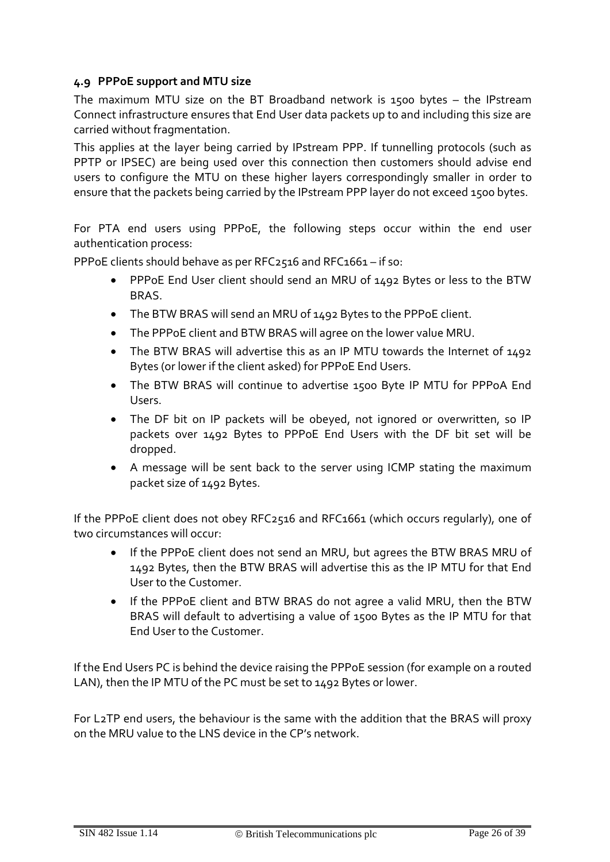### **4.9 PPPoE support and MTU size**

The maximum MTU size on the BT Broadband network is 1500 bytes – the IPstream Connect infrastructure ensures that End User data packets up to and including this size are carried without fragmentation.

This applies at the layer being carried by IPstream PPP. If tunnelling protocols (such as PPTP or IPSEC) are being used over this connection then customers should advise end users to configure the MTU on these higher layers correspondingly smaller in order to ensure that the packets being carried by the IPstream PPP layer do not exceed 1500 bytes.

For PTA end users using PPPoE, the following steps occur within the end user authentication process:

PPPoE clients should behave as per RFC2516 and RFC1661 – if so:

- PPPoE End User client should send an MRU of 1492 Bytes or less to the BTW BRAS.
- The BTW BRAS will send an MRU of 1492 Bytes to the PPPoE client.
- The PPPoE client and BTW BRAS will agree on the lower value MRU.
- The BTW BRAS will advertise this as an IP MTU towards the Internet of 1492 Bytes (or lower if the client asked) for PPPoE End Users.
- The BTW BRAS will continue to advertise 1500 Byte IP MTU for PPPoA End Users.
- The DF bit on IP packets will be obeyed, not ignored or overwritten, so IP packets over 1492 Bytes to PPPoE End Users with the DF bit set will be dropped.
- A message will be sent back to the server using ICMP stating the maximum packet size of 1492 Bytes.

If the PPPoE client does not obey RFC2516 and RFC1661 (which occurs regularly), one of two circumstances will occur:

- If the PPPoE client does not send an MRU, but agrees the BTW BRAS MRU of 1492 Bytes, then the BTW BRAS will advertise this as the IP MTU for that End User to the Customer.
- If the PPPoE client and BTW BRAS do not agree a valid MRU, then the BTW BRAS will default to advertising a value of 1500 Bytes as the IP MTU for that End User to the Customer.

If the End Users PC is behind the device raising the PPPoE session (for example on a routed LAN), then the IP MTU of the PC must be set to 1492 Bytes or lower.

For L2TP end users, the behaviour is the same with the addition that the BRAS will proxy on the MRU value to the LNS device in the CP's network.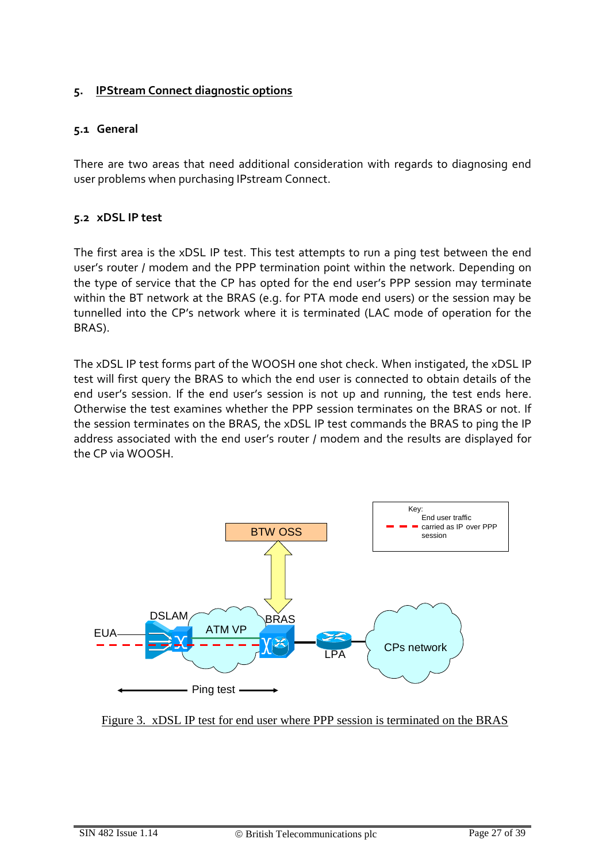### **5. IPStream Connect diagnostic options**

### **5.1 General**

There are two areas that need additional consideration with regards to diagnosing end user problems when purchasing IPstream Connect.

### **5.2 xDSL IP test**

The first area is the xDSL IP test. This test attempts to run a ping test between the end user's router / modem and the PPP termination point within the network. Depending on the type of service that the CP has opted for the end user's PPP session may terminate within the BT network at the BRAS (e.g. for PTA mode end users) or the session may be tunnelled into the CP's network where it is terminated (LAC mode of operation for the BRAS).

The xDSL IP test forms part of the WOOSH one shot check. When instigated, the xDSL IP test will first query the BRAS to which the end user is connected to obtain details of the end user's session. If the end user's session is not up and running, the test ends here. Otherwise the test examines whether the PPP session terminates on the BRAS or not. If the session terminates on the BRAS, the xDSL IP test commands the BRAS to ping the IP address associated with the end user's router / modem and the results are displayed for the CP via WOOSH.



Figure 3. xDSL IP test for end user where PPP session is terminated on the BRAS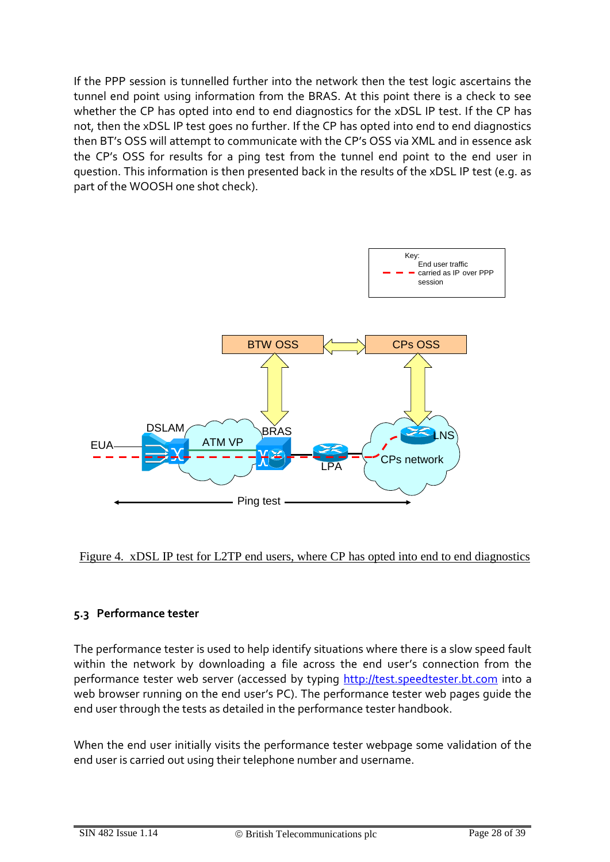If the PPP session is tunnelled further into the network then the test logic ascertains the tunnel end point using information from the BRAS. At this point there is a check to see whether the CP has opted into end to end diagnostics for the xDSL IP test. If the CP has not, then the xDSL IP test goes no further. If the CP has opted into end to end diagnostics then BT's OSS will attempt to communicate with the CP's OSS via XML and in essence ask the CP's OSS for results for a ping test from the tunnel end point to the end user in question. This information is then presented back in the results of the xDSL IP test (e.g. as part of the WOOSH one shot check).





### **5.3 Performance tester**

The performance tester is used to help identify situations where there is a slow speed fault within the network by downloading a file across the end user's connection from the performance tester web server (accessed by typing [http://test.speedtester.bt.com](http://test.speedtester.bt.com/) into a web browser running on the end user's PC). The performance tester web pages guide the end user through the tests as detailed in the performance tester handbook.

When the end user initially visits the performance tester webpage some validation of the end user is carried out using their telephone number and username.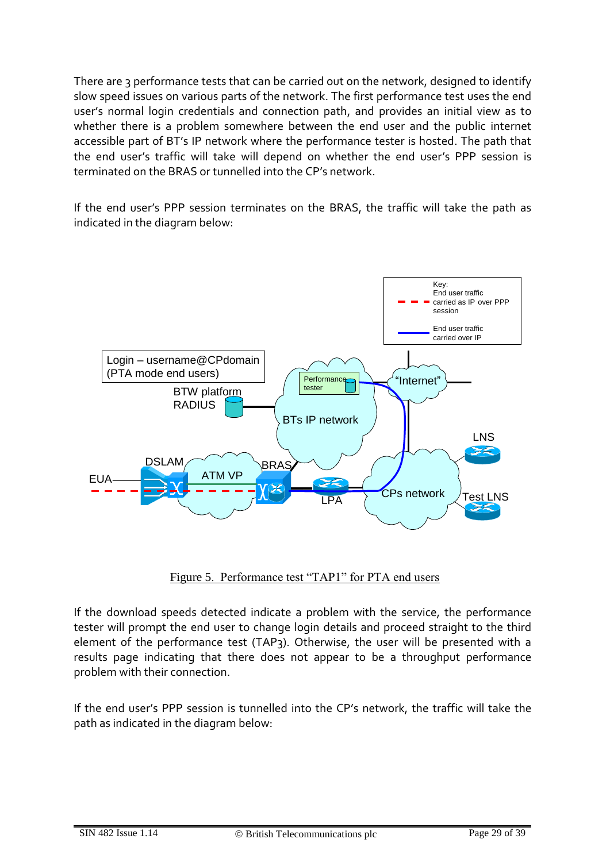There are 3 performance tests that can be carried out on the network, designed to identify slow speed issues on various parts of the network. The first performance test uses the end user's normal login credentials and connection path, and provides an initial view as to whether there is a problem somewhere between the end user and the public internet accessible part of BT's IP network where the performance tester is hosted. The path that the end user's traffic will take will depend on whether the end user's PPP session is terminated on the BRAS or tunnelled into the CP's network.

If the end user's PPP session terminates on the BRAS, the traffic will take the path as indicated in the diagram below:



Figure 5. Performance test "TAP1" for PTA end users

If the download speeds detected indicate a problem with the service, the performance tester will prompt the end user to change login details and proceed straight to the third element of the performance test (TAP3). Otherwise, the user will be presented with a results page indicating that there does not appear to be a throughput performance problem with their connection.

If the end user's PPP session is tunnelled into the CP's network, the traffic will take the path as indicated in the diagram below: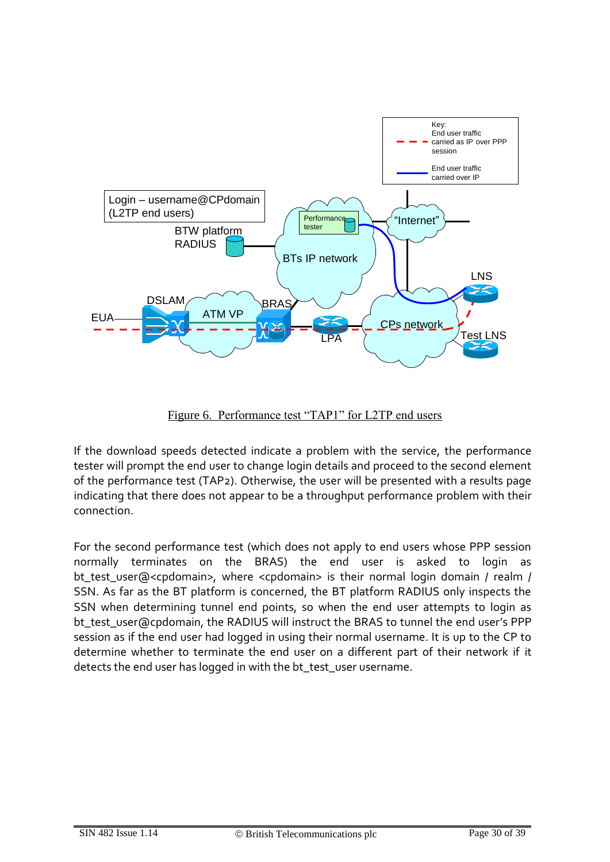

Figure 6. Performance test "TAP1" for L2TP end users

If the download speeds detected indicate a problem with the service, the performance tester will prompt the end user to change login details and proceed to the second element of the performance test (TAP2). Otherwise, the user will be presented with a results page indicating that there does not appear to be a throughput performance problem with their connection.

For the second performance test (which does not apply to end users whose PPP session normally terminates on the BRAS) the end user is asked to login as bt test user@<cpdomain>, where <cpdomain> is their normal login domain / realm / SSN. As far as the BT platform is concerned, the BT platform RADIUS only inspects the SSN when determining tunnel end points, so when the end user attempts to login as bt\_test\_user@cpdomain, the RADIUS will instruct the BRAS to tunnel the end user's PPP session as if the end user had logged in using their normal username. It is up to the CP to determine whether to terminate the end user on a different part of their network if it detects the end user has logged in with the bt\_test\_user username.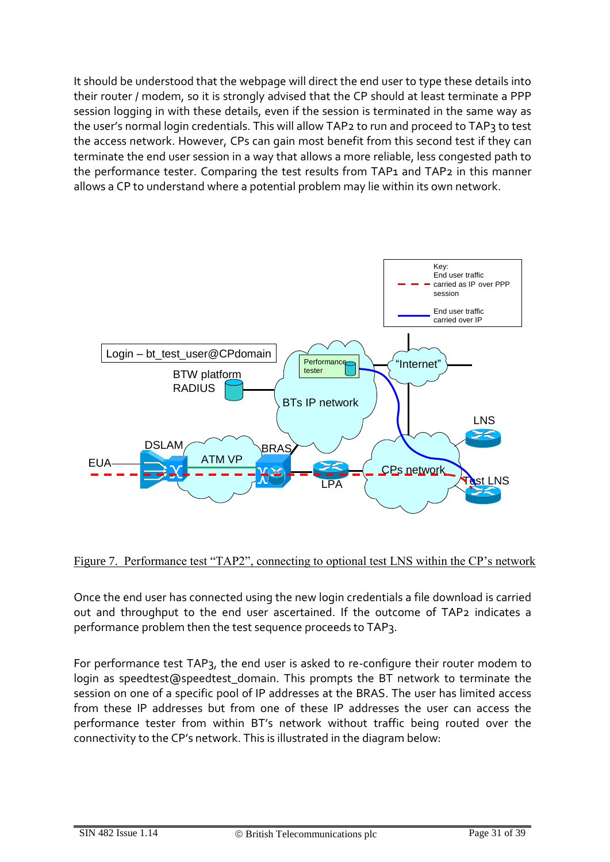It should be understood that the webpage will direct the end user to type these details into their router / modem, so it is strongly advised that the CP should at least terminate a PPP session logging in with these details, even if the session is terminated in the same way as the user's normal login credentials. This will allow TAP2 to run and proceed to TAP3 to test the access network. However, CPs can gain most benefit from this second test if they can terminate the end user session in a way that allows a more reliable, less congested path to the performance tester. Comparing the test results from TAP1 and TAP2 in this manner allows a CP to understand where a potential problem may lie within its own network.





Once the end user has connected using the new login credentials a file download is carried out and throughput to the end user ascertained. If the outcome of TAP2 indicates a performance problem then the test sequence proceeds to TAP3.

For performance test TAP3, the end user is asked to re-configure their router modem to login as speedtest@speedtest\_domain. This prompts the BT network to terminate the session on one of a specific pool of IP addresses at the BRAS. The user has limited access from these IP addresses but from one of these IP addresses the user can access the performance tester from within BT's network without traffic being routed over the connectivity to the CP's network. This is illustrated in the diagram below: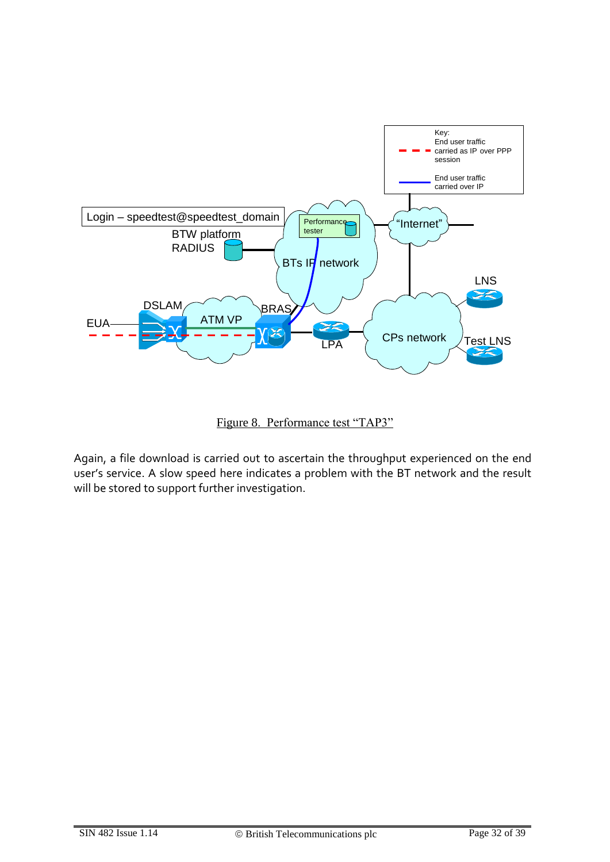

Figure 8. Performance test "TAP3"

Again, a file download is carried out to ascertain the throughput experienced on the end user's service. A slow speed here indicates a problem with the BT network and the result will be stored to support further investigation.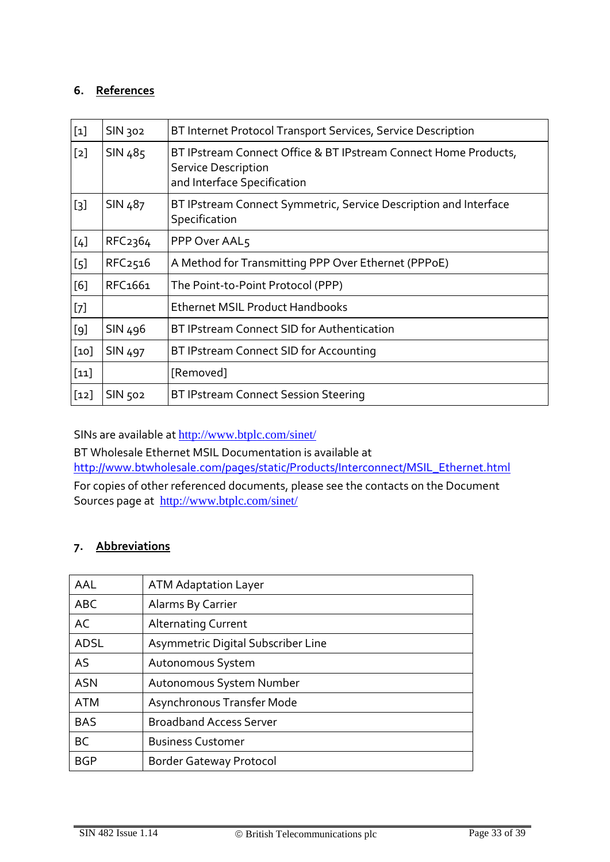### **6. References**

| $[1]$            | SIN 302             | BT Internet Protocol Transport Services, Service Description                                                                 |
|------------------|---------------------|------------------------------------------------------------------------------------------------------------------------------|
| $[2]$            | SIN 485             | BT IPstream Connect Office & BT IPstream Connect Home Products,<br><b>Service Description</b><br>and Interface Specification |
| $[3]$            | SIN 487             | BT IPstream Connect Symmetric, Service Description and Interface<br>Specification                                            |
| [4]              | RFC <sub>2364</sub> | PPP Over AAL5                                                                                                                |
| $\left[5\right]$ | RFC <sub>2516</sub> | A Method for Transmitting PPP Over Ethernet (PPPoE)                                                                          |
| [6]              | RFC <sub>1661</sub> | The Point-to-Point Protocol (PPP)                                                                                            |
| $[7]$            |                     | <b>Ethernet MSIL Product Handbooks</b>                                                                                       |
| [9]              | SIN 496             | BT IPstream Connect SID for Authentication                                                                                   |
| [10]             | SIN 497             | BT IPstream Connect SID for Accounting                                                                                       |
| $[11]$           |                     | [Removed]                                                                                                                    |
| $[12]$           | SIN 502             | BT IPstream Connect Session Steering                                                                                         |

<span id="page-32-0"></span>SINs are available at <http://www.btplc.com/sinet/>

BT Wholesale Ethernet MSIL Documentation is available at [http://www.btwholesale.com/pages/static/Products/Interconnect/MSIL\\_Ethernet.html](http://www.btwholesale.com/pages/static/Products/Interconnect/MSIL_Ethernet.html) For copies of other referenced documents, please see the contacts on the Document

Sources page at <http://www.btplc.com/sinet/>

# **7. Abbreviations**

| AAL         | <b>ATM Adaptation Layer</b>        |
|-------------|------------------------------------|
| <b>ABC</b>  | Alarms By Carrier                  |
| AC          | <b>Alternating Current</b>         |
| <b>ADSL</b> | Asymmetric Digital Subscriber Line |
| AS          | Autonomous System                  |
| <b>ASN</b>  | Autonomous System Number           |
| <b>ATM</b>  | Asynchronous Transfer Mode         |
| <b>BAS</b>  | <b>Broadband Access Server</b>     |
| <b>BC</b>   | <b>Business Customer</b>           |
| <b>BGP</b>  | <b>Border Gateway Protocol</b>     |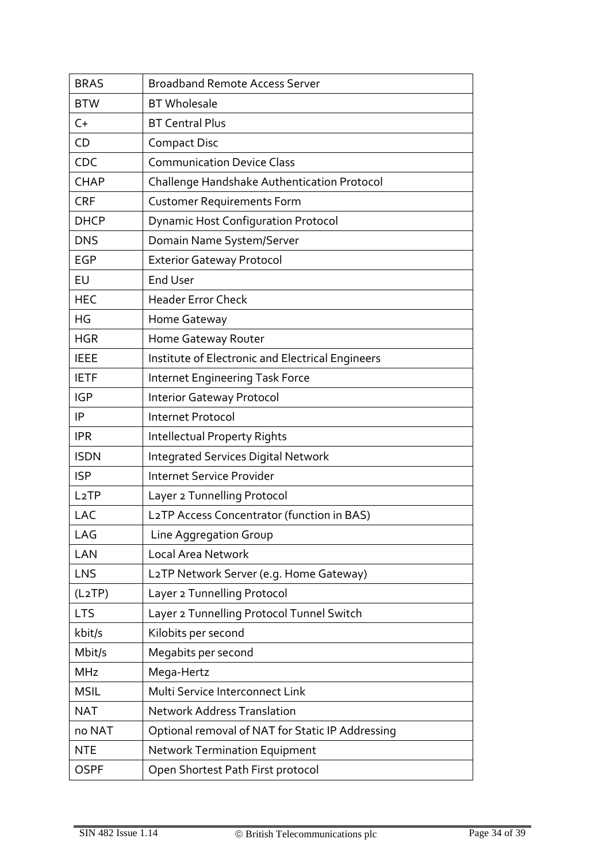| <b>BRAS</b>         | <b>Broadband Remote Access Server</b>            |
|---------------------|--------------------------------------------------|
| <b>BTW</b>          | <b>BT</b> Wholesale                              |
| $C+$                | <b>BT Central Plus</b>                           |
| CD                  | <b>Compact Disc</b>                              |
| CDC                 | <b>Communication Device Class</b>                |
| <b>CHAP</b>         | Challenge Handshake Authentication Protocol      |
| <b>CRF</b>          | <b>Customer Requirements Form</b>                |
| <b>DHCP</b>         | <b>Dynamic Host Configuration Protocol</b>       |
| <b>DNS</b>          | Domain Name System/Server                        |
| <b>EGP</b>          | <b>Exterior Gateway Protocol</b>                 |
| EU                  | <b>End User</b>                                  |
| <b>HEC</b>          | <b>Header Error Check</b>                        |
| HG                  | Home Gateway                                     |
| <b>HGR</b>          | Home Gateway Router                              |
| <b>IEEE</b>         | Institute of Electronic and Electrical Engineers |
| <b>IETF</b>         | Internet Engineering Task Force                  |
| <b>IGP</b>          | <b>Interior Gateway Protocol</b>                 |
| IP                  | Internet Protocol                                |
| <b>IPR</b>          | <b>Intellectual Property Rights</b>              |
| <b>ISDN</b>         | <b>Integrated Services Digital Network</b>       |
| <b>ISP</b>          | <b>Internet Service Provider</b>                 |
| L <sub>2</sub> TP   | Layer 2 Tunnelling Protocol                      |
| LAC                 | L2TP Access Concentrator (function in BAS)       |
| LAG                 | Line Aggregation Group                           |
| LAN                 | <b>Local Area Network</b>                        |
| LNS                 | L2TP Network Server (e.g. Home Gateway)          |
| (L <sub>2</sub> TP) | Layer 2 Tunnelling Protocol                      |
| <b>LTS</b>          | Layer 2 Tunnelling Protocol Tunnel Switch        |
| kbit/s              | Kilobits per second                              |
| Mbit/s              | Megabits per second                              |
| <b>MHz</b>          | Mega-Hertz                                       |
| <b>MSIL</b>         | Multi Service Interconnect Link                  |
| <b>NAT</b>          | <b>Network Address Translation</b>               |
| no NAT              | Optional removal of NAT for Static IP Addressing |
| <b>NTE</b>          | <b>Network Termination Equipment</b>             |
| <b>OSPF</b>         | Open Shortest Path First protocol                |
|                     |                                                  |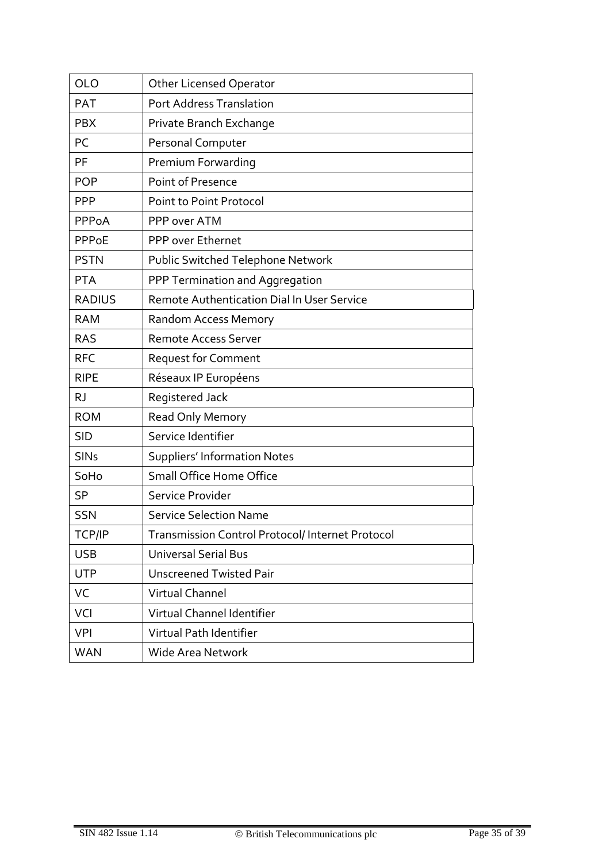| <b>OLO</b>    | <b>Other Licensed Operator</b>                   |
|---------------|--------------------------------------------------|
| <b>PAT</b>    | Port Address Translation                         |
| <b>PBX</b>    | Private Branch Exchange                          |
| PC            | Personal Computer                                |
| PF            | Premium Forwarding                               |
| <b>POP</b>    | Point of Presence                                |
| <b>PPP</b>    | Point to Point Protocol                          |
| PPPoA         | PPP over ATM                                     |
| PPPoE         | PPP over Ethernet                                |
| <b>PSTN</b>   | Public Switched Telephone Network                |
| <b>PTA</b>    | PPP Termination and Aggregation                  |
| <b>RADIUS</b> | Remote Authentication Dial In User Service       |
| <b>RAM</b>    | <b>Random Access Memory</b>                      |
| <b>RAS</b>    | <b>Remote Access Server</b>                      |
| <b>RFC</b>    | <b>Request for Comment</b>                       |
| <b>RIPE</b>   | Réseaux IP Européens                             |
| <b>RJ</b>     | Registered Jack                                  |
| <b>ROM</b>    | Read Only Memory                                 |
| <b>SID</b>    | Service Identifier                               |
| <b>SINs</b>   | <b>Suppliers' Information Notes</b>              |
| SoHo          | Small Office Home Office                         |
| <b>SP</b>     | Service Provider                                 |
| <b>SSN</b>    | <b>Service Selection Name</b>                    |
| TCP/IP        | Transmission Control Protocol/ Internet Protocol |
| <b>USB</b>    | <b>Universal Serial Bus</b>                      |
| <b>UTP</b>    | <b>Unscreened Twisted Pair</b>                   |
| VC            | Virtual Channel                                  |
| VCI           | Virtual Channel Identifier                       |
| <b>VPI</b>    | Virtual Path Identifier                          |
| <b>WAN</b>    | Wide Area Network                                |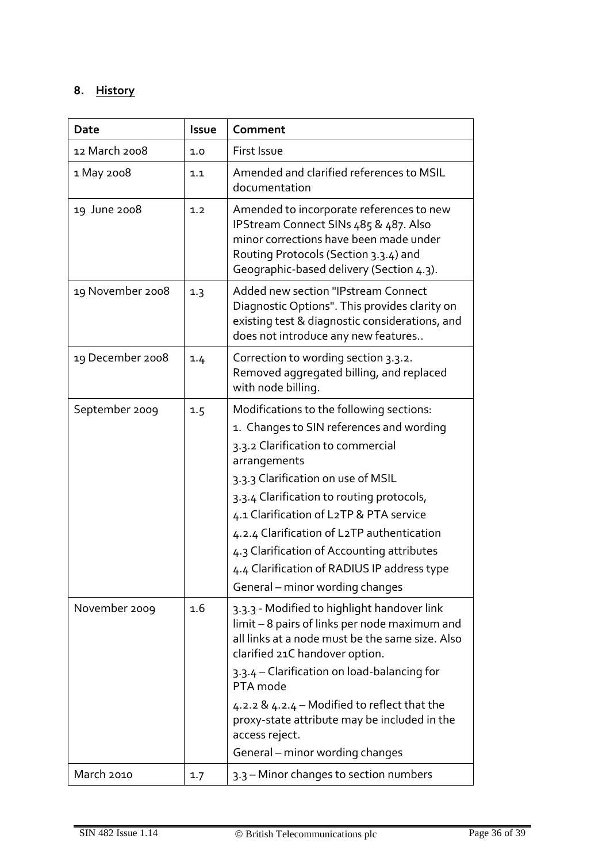# **8. History**

| Date             | Issue | Comment                                                                                                                                                                                                                                                                                                                                                                                                                                               |
|------------------|-------|-------------------------------------------------------------------------------------------------------------------------------------------------------------------------------------------------------------------------------------------------------------------------------------------------------------------------------------------------------------------------------------------------------------------------------------------------------|
| 12 March 2008    | 1.0   | First Issue                                                                                                                                                                                                                                                                                                                                                                                                                                           |
| 1 May 2008       | 1.1   | Amended and clarified references to MSIL<br>documentation                                                                                                                                                                                                                                                                                                                                                                                             |
| 19 June 2008     | 1.2   | Amended to incorporate references to new<br>IPStream Connect SINs 485 & 487. Also<br>minor corrections have been made under<br>Routing Protocols (Section 3.3.4) and<br>Geographic-based delivery (Section 4.3).                                                                                                                                                                                                                                      |
| 19 November 2008 | 1.3   | Added new section "IPstream Connect<br>Diagnostic Options". This provides clarity on<br>existing test & diagnostic considerations, and<br>does not introduce any new features                                                                                                                                                                                                                                                                         |
| 19 December 2008 | 1.4   | Correction to wording section 3.3.2.<br>Removed aggregated billing, and replaced<br>with node billing.                                                                                                                                                                                                                                                                                                                                                |
| September 2009   | 1.5   | Modifications to the following sections:<br>1. Changes to SIN references and wording<br>3.3.2 Clarification to commercial<br>arrangements<br>3.3.3 Clarification on use of MSIL<br>3.3.4 Clarification to routing protocols,<br>4.1 Clarification of L2TP & PTA service<br>4.2.4 Clarification of L2TP authentication<br>4.3 Clarification of Accounting attributes<br>4.4 Clarification of RADIUS IP address type<br>General – minor wording changes |
| November 2009    | 1.6   | 3.3.3 - Modified to highlight handover link<br>limit - 8 pairs of links per node maximum and<br>all links at a node must be the same size. Also<br>clarified 21C handover option.<br>3.3.4 - Clarification on load-balancing for<br>PTA mode<br>4.2.2 & 4.2.4 – Modified to reflect that the<br>proxy-state attribute may be included in the<br>access reject.<br>General - minor wording changes                                                     |
| March 2010       | 1.7   | 3.3 - Minor changes to section numbers                                                                                                                                                                                                                                                                                                                                                                                                                |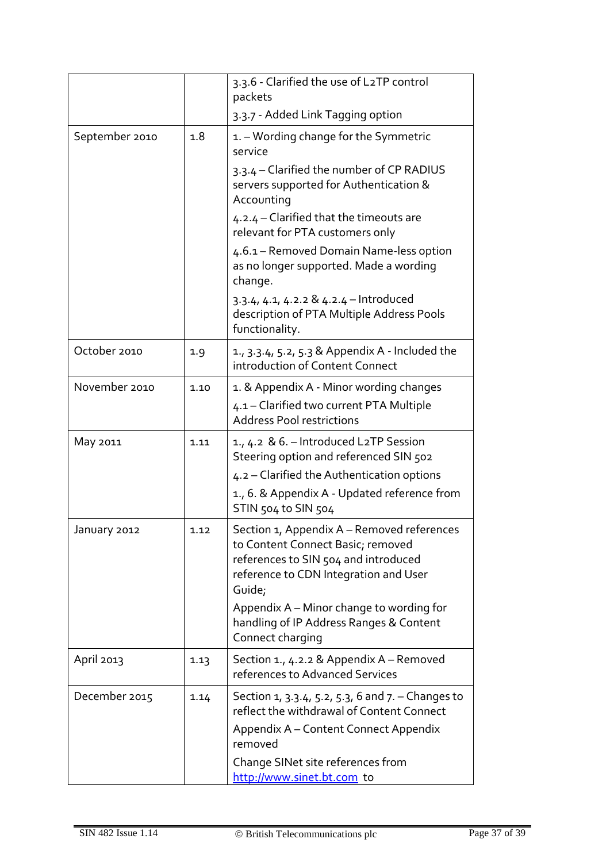|                |      | 3.3.6 - Clarified the use of L2TP control<br>packets                                                                                                                                                                                                              |
|----------------|------|-------------------------------------------------------------------------------------------------------------------------------------------------------------------------------------------------------------------------------------------------------------------|
|                |      | 3.3.7 - Added Link Tagging option                                                                                                                                                                                                                                 |
| September 2010 | 1.8  | 1. – Wording change for the Symmetric<br>service                                                                                                                                                                                                                  |
|                |      | 3.3.4 – Clarified the number of CP RADIUS<br>servers supported for Authentication &<br>Accounting                                                                                                                                                                 |
|                |      | 4.2.4 - Clarified that the timeouts are<br>relevant for PTA customers only                                                                                                                                                                                        |
|                |      | 4.6.1 – Removed Domain Name-less option<br>as no longer supported. Made a wording<br>change.                                                                                                                                                                      |
|                |      | 3.3.4, 4.1, 4.2.2 & 4.2.4 - Introduced<br>description of PTA Multiple Address Pools<br>functionality.                                                                                                                                                             |
| October 2010   | 1.9  | 1., 3.3.4, 5.2, 5.3 & Appendix A - Included the<br>introduction of Content Connect                                                                                                                                                                                |
| November 2010  | 1.10 | 1. & Appendix A - Minor wording changes<br>4.1 - Clarified two current PTA Multiple<br><b>Address Pool restrictions</b>                                                                                                                                           |
| May 2011       | 1.11 | 1., 4.2 & 6. – Introduced L2TP Session<br>Steering option and referenced SIN 502<br>4.2 – Clarified the Authentication options<br>1., 6. & Appendix A - Updated reference from<br>STIN 504 to SIN 504                                                             |
| January 2012   | 1.12 | Section 1, Appendix A - Removed references<br>to Content Connect Basic; removed<br>references to SIN 504 and introduced<br>reference to CDN Integration and User<br>Guide;<br>Appendix A - Minor change to wording for<br>handling of IP Address Ranges & Content |
|                |      | Connect charging                                                                                                                                                                                                                                                  |
| April 2013     | 1.13 | Section 1., 4.2.2 & Appendix A - Removed<br>references to Advanced Services                                                                                                                                                                                       |
| December 2015  | 1.14 | Section 1, 3.3.4, 5.2, 5.3, 6 and 7. – Changes to<br>reflect the withdrawal of Content Connect<br>Appendix A – Content Connect Appendix<br>removed                                                                                                                |
|                |      | Change SINet site references from<br>http://www.sinet.bt.com to                                                                                                                                                                                                   |